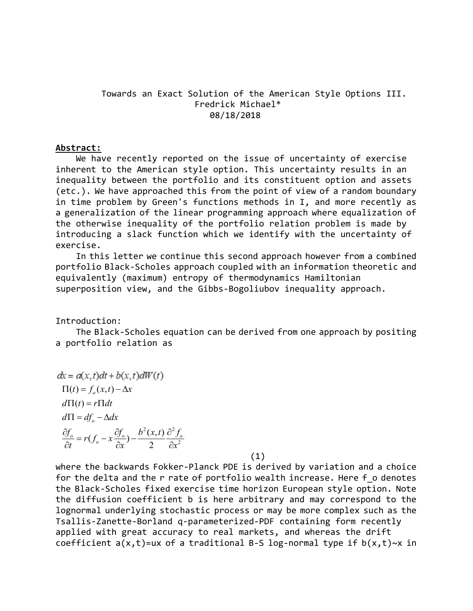# Towards an Exact Solution of the American Style Options III. Fredrick Michael\* 08/18/2018

## Abstract:

 We have recently reported on the issue of uncertainty of exercise inherent to the American style option. This uncertainty results in an inequality between the portfolio and its constituent option and assets (etc.). We have approached this from the point of view of a random boundary in time problem by Green's functions methods in I, and more recently as a generalization of the linear programming approach where equalization of the otherwise inequality of the portfolio relation problem is made by introducing a slack function which we identify with the uncertainty of exercise.

 In this letter we continue this second approach however from a combined portfolio Black-Scholes approach coupled with an information theoretic and equivalently (maximum) entropy of thermodynamics Hamiltonian superposition view, and the Gibbs-Bogoliubov inequality approach.

Introduction:

 The Black-Scholes equation can be derived from one approach by positing a portfolio relation as

$$
dx = a(x,t)dt + b(x,t)dW(t)
$$
  
\n
$$
\Pi(t) = f_o(x,t) - \Delta x
$$
  
\n
$$
d\Pi(t) = r\Pi dt
$$
  
\n
$$
d\Pi = df_o - \Delta dx
$$
  
\n
$$
\frac{\partial f_o}{\partial t} = r(f_o - x\frac{\partial f_o}{\partial x}) - \frac{b^2(x,t)}{2}\frac{\partial^2 f_o}{\partial x^2}
$$
\n(1)

where the backwards Fokker-Planck PDE is derived by variation and a choice for the delta and the r rate of portfolio wealth increase. Here f o denotes the Black-Scholes fixed exercise time horizon European style option. Note the diffusion coefficient b is here arbitrary and may correspond to the lognormal underlying stochastic process or may be more complex such as the Tsallis-Zanette-Borland q-parameterized-PDF containing form recently applied with great accuracy to real markets, and whereas the drift coefficient  $a(x,t)$ =ux of a traditional B-S log-normal type if  $b(x,t)~$  x in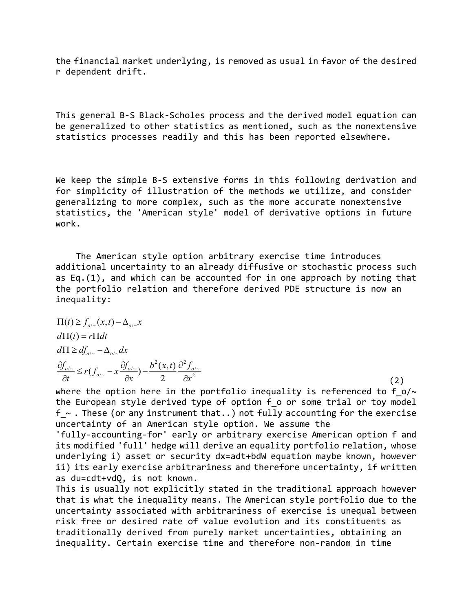the financial market underlying, is removed as usual in favor of the desired r dependent drift.

This general B-S Black-Scholes process and the derived model equation can be generalized to other statistics as mentioned, such as the nonextensive statistics processes readily and this has been reported elsewhere.

We keep the simple B-S extensive forms in this following derivation and for simplicity of illustration of the methods we utilize, and consider generalizing to more complex, such as the more accurate nonextensive statistics, the 'American style' model of derivative options in future work.

 The American style option arbitrary exercise time introduces additional uncertainty to an already diffusive or stochastic process such as Eq.(1), and which can be accounted for in one approach by noting that the portfolio relation and therefore derived PDE structure is now an inequality:

$$
\Pi(t) \ge f_{o/\sim}(x,t) - \Delta_{o/\sim} x
$$
\n
$$
d\Pi(t) = r \Pi dt
$$
\n
$$
d\Pi \ge df_{o/\sim} - \Delta_{o/\sim} dx
$$
\n
$$
\frac{\partial f_{o/\sim}}{\partial t} \le r(f_{o/\sim} - x \frac{\partial f_{o/\sim}}{\partial x}) - \frac{b^2(x,t)}{2} \frac{\partial^2 f_{o/\sim}}{\partial x^2}
$$
\n(2)

where the option here in the portfolio inequality is referenced to f  $o/\sim$ the European style derived type of option f o or some trial or toy model  $f \sim$ . These (or any instrument that..) not fully accounting for the exercise uncertainty of an American style option. We assume the

'fully-accounting-for' early or arbitrary exercise American option f and its modified 'full' hedge will derive an equality portfolio relation, whose underlying i) asset or security dx=adt+bdW equation maybe known, however ii) its early exercise arbitrariness and therefore uncertainty, if written as du=cdt+vdQ, is not known.

This is usually not explicitly stated in the traditional approach however that is what the inequality means. The American style portfolio due to the uncertainty associated with arbitrariness of exercise is unequal between risk free or desired rate of value evolution and its constituents as traditionally derived from purely market uncertainties, obtaining an inequality. Certain exercise time and therefore non-random in time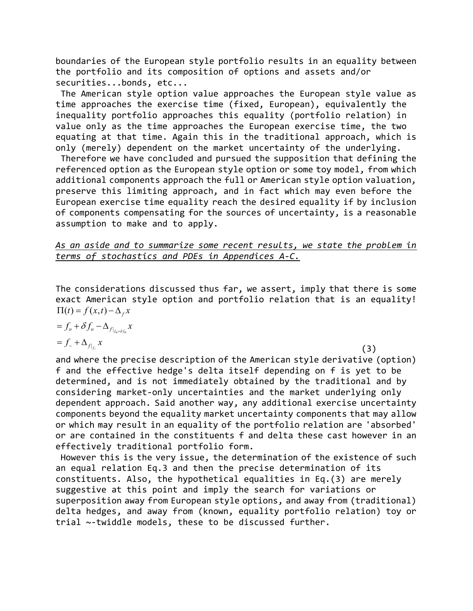boundaries of the European style portfolio results in an equality between the portfolio and its composition of options and assets and/or securities...bonds, etc...

 The American style option value approaches the European style value as time approaches the exercise time (fixed, European), equivalently the inequality portfolio approaches this equality (portfolio relation) in value only as the time approaches the European exercise time, the two equating at that time. Again this in the traditional approach, which is only (merely) dependent on the market uncertainty of the underlying.

 Therefore we have concluded and pursued the supposition that defining the referenced option as the European style option or some toy model, from which additional components approach the full or American style option valuation, preserve this limiting approach, and in fact which may even before the European exercise time equality reach the desired equality if by inclusion of components compensating for the sources of uncertainty, is a reasonable assumption to make and to apply.

## As an aside and to summarize some recent results, we state the problem in terms of stochastics and PDEs in Appendices A-C.

The considerations discussed thus far, we assert, imply that there is some exact American style option and portfolio relation that is an equality!  $\prod(t) = f(x,t) - \Delta_f x$ 

$$
=f_o+\delta f_o-\Delta_{f|_{f_o+\delta f_o}}x
$$

$$
=f_{-}+\Delta_{f|_{f_{-}}}x\tag{3}
$$

and where the precise description of the American style derivative (option) f and the effective hedge's delta itself depending on f is yet to be determined, and is not immediately obtained by the traditional and by considering market-only uncertainties and the market underlying only dependent approach. Said another way, any additional exercise uncertainty components beyond the equality market uncertainty components that may allow or which may result in an equality of the portfolio relation are 'absorbed' or are contained in the constituents f and delta these cast however in an effectively traditional portfolio form.

 However this is the very issue, the determination of the existence of such an equal relation Eq.3 and then the precise determination of its constituents. Also, the hypothetical equalities in Eq.(3) are merely suggestive at this point and imply the search for variations or superposition away from European style options, and away from (traditional) delta hedges, and away from (known, equality portfolio relation) toy or trial ~-twiddle models, these to be discussed further.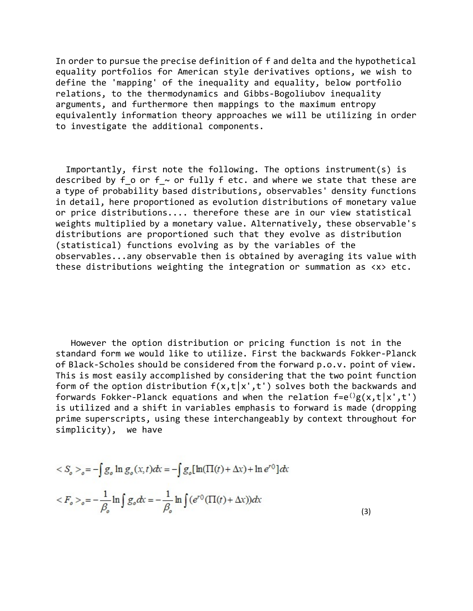In order to pursue the precise definition of f and delta and the hypothetical equality portfolios for American style derivatives options, we wish to define the 'mapping' of the inequality and equality, below portfolio relations, to the thermodynamics and Gibbs-Bogoliubov inequality arguments, and furthermore then mappings to the maximum entropy equivalently information theory approaches we will be utilizing in order to investigate the additional components.

 Importantly, first note the following. The options instrument(s) is described by f o or f  $\sim$  or fully f etc. and where we state that these are a type of probability based distributions, observables' density functions in detail, here proportioned as evolution distributions of monetary value or price distributions.... therefore these are in our view statistical weights multiplied by a monetary value. Alternatively, these observable's distributions are proportioned such that they evolve as distribution (statistical) functions evolving as by the variables of the observables...any observable then is obtained by averaging its value with these distributions weighting the integration or summation as <x> etc.

 However the option distribution or pricing function is not in the standard form we would like to utilize. First the backwards Fokker-Planck of Black-Scholes should be considered from the forward p.o.v. point of view. This is most easily accomplished by considering that the two point function form of the option distribution  $f(x,t|x',t')$  solves both the backwards and forwards Fokker-Planck equations and when the relation  $f=e^{i\theta}g(x,t|x',t')$ is utilized and a shift in variables emphasis to forward is made (dropping prime superscripts, using these interchangeably by context throughout for simplicity), we have

$$
\langle S_o \rangle_o = -\int g_o \ln g_o(x, t) dx = -\int g_o [\ln(\Pi(t) + \Delta x) + \ln e^{r\theta}] dx
$$
  

$$
\langle F_o \rangle_o = -\frac{1}{\beta_o} \ln \int g_o dx = -\frac{1}{\beta_o} \ln \int (e^{r\theta} (\Pi(t) + \Delta x)) dx
$$
 (3)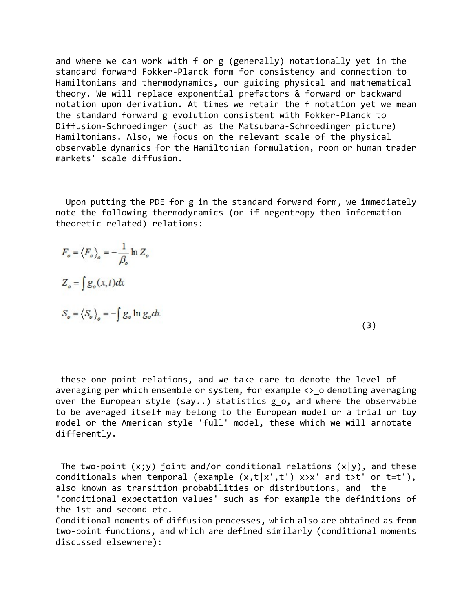and where we can work with f or g (generally) notationally yet in the standard forward Fokker-Planck form for consistency and connection to Hamiltonians and thermodynamics, our guiding physical and mathematical theory. We will replace exponential prefactors & forward or backward notation upon derivation. At times we retain the f notation yet we mean the standard forward g evolution consistent with Fokker-Planck to Diffusion-Schroedinger (such as the Matsubara-Schroedinger picture) Hamiltonians. Also, we focus on the relevant scale of the physical observable dynamics for the Hamiltonian formulation, room or human trader markets' scale diffusion.

 Upon putting the PDE for g in the standard forward form, we immediately note the following thermodynamics (or if negentropy then information theoretic related) relations:

$$
F_o = \langle F_o \rangle_o = -\frac{1}{\beta_o} \ln Z_o
$$
  
\n
$$
Z_o = \int g_o(x, t) dx
$$
  
\n
$$
S_o = \langle S_o \rangle_o = -\int g_o \ln g_o dx
$$
 (3)

 these one-point relations, and we take care to denote the level of averaging per which ensemble or system, for example  $\leftrightarrow$  o denoting averaging over the European style (say..) statistics g\_o, and where the observable to be averaged itself may belong to the European model or a trial or toy model or the American style 'full' model, these which we will annotate differently.

The two-point  $(x; y)$  joint and/or conditional relations  $(x|y)$ , and these conditionals when temporal (example  $(x,t|x',t')$  x>x' and t>t' or t=t'), also known as transition probabilities or distributions, and the 'conditional expectation values' such as for example the definitions of the 1st and second etc.

Conditional moments of diffusion processes, which also are obtained as from two-point functions, and which are defined similarly (conditional moments discussed elsewhere):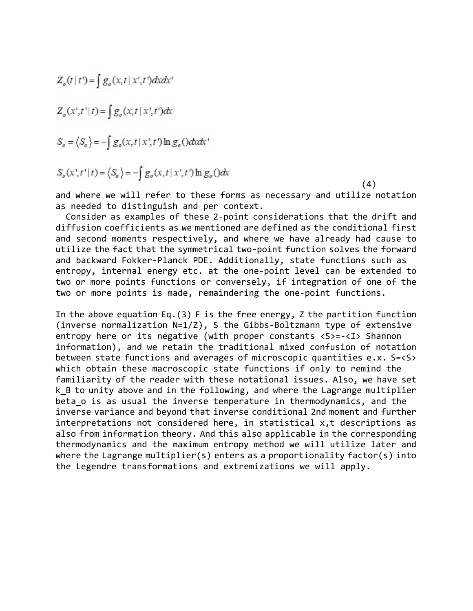$$
Z_o(t | t') = \int g_o(x, t | x', t') dx dx'
$$
  
\n
$$
Z_o(x', t' | t) = \int g_o(x, t | x', t') dx
$$
  
\n
$$
S_o = \langle S_o \rangle = -\int g_o(x, t | x', t') \ln g_o(x) dx'
$$
  
\n
$$
S_o(x', t' | t) = \langle S_o \rangle = -\int g_o(x, t | x', t') \ln g_o(x) dx
$$

and where we will refer to these forms as necessary and utilize notation as needed to distinguish and per context.

 $(4)$ 

 Consider as examples of these 2-point considerations that the drift and diffusion coefficients as we mentioned are defined as the conditional first and second moments respectively, and where we have already had cause to utilize the fact that the symmetrical two-point function solves the forward and backward Fokker-Planck PDE. Additionally, state functions such as entropy, internal energy etc. at the one-point level can be extended to two or more points functions or conversely, if integration of one of the two or more points is made, remaindering the one-point functions.

In the above equation Eq.(3) F is the free energy, Z the partition function (inverse normalization N=1/Z), S the Gibbs-Boltzmann type of extensive entropy here or its negative (with proper constants  $\langle S \rangle = -\langle I \rangle$  Shannon information), and we retain the traditional mixed confusion of notation between state functions and averages of microscopic quantities e.x. S=<S> which obtain these macroscopic state functions if only to remind the familiarity of the reader with these notational issues. Also, we have set k B to unity above and in the following, and where the Lagrange multiplier beta o is as usual the inverse temperature in thermodynamics, and the inverse variance and beyond that inverse conditional 2nd moment and further interpretations not considered here, in statistical x,t descriptions as also from information theory. And this also applicable in the corresponding thermodynamics and the maximum entropy method we will utilize later and where the Lagrange multiplier(s) enters as a proportionality factor(s) into the Legendre transformations and extremizations we will apply.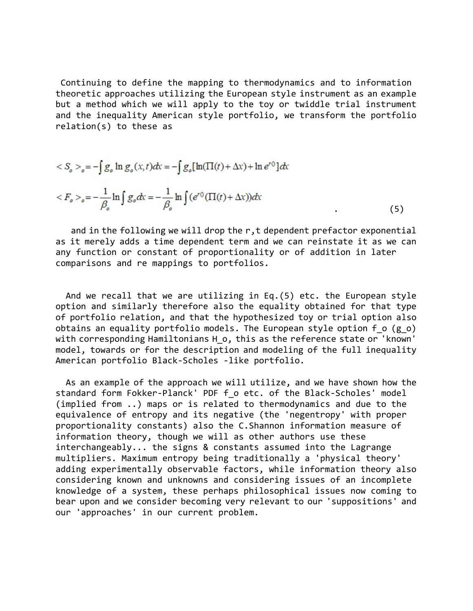Continuing to define the mapping to thermodynamics and to information theoretic approaches utilizing the European style instrument as an example but a method which we will apply to the toy or twiddle trial instrument and the inequality American style portfolio, we transform the portfolio relation(s) to these as

$$
\langle S_o \rangle_o = -\int g_o \ln g_o(x, t) dx = -\int g_o [\ln(\Pi(t) + \Delta x) + \ln e^{r\theta}] dx
$$
  

$$
\langle F_o \rangle_o = -\frac{1}{\beta_o} \ln \int g_o dx = -\frac{1}{\beta_o} \ln \int (e^{r\theta} (\Pi(t) + \Delta x)) dx
$$
 (5)

and in the following we will drop the r, t dependent prefactor exponential as it merely adds a time dependent term and we can reinstate it as we can any function or constant of proportionality or of addition in later comparisons and re mappings to portfolios.

 And we recall that we are utilizing in Eq.(5) etc. the European style option and similarly therefore also the equality obtained for that type of portfolio relation, and that the hypothesized toy or trial option also obtains an equality portfolio models. The European style option  $f$  o (g o) with corresponding Hamiltonians H o, this as the reference state or 'known' model, towards or for the description and modeling of the full inequality American portfolio Black-Scholes -like portfolio.

 As an example of the approach we will utilize, and we have shown how the standard form Fokker-Planck' PDF f o etc. of the Black-Scholes' model (implied from ..) maps or is related to thermodynamics and due to the equivalence of entropy and its negative (the 'negentropy' with proper proportionality constants) also the C.Shannon information measure of information theory, though we will as other authors use these interchangeably... the signs & constants assumed into the Lagrange multipliers. Maximum entropy being traditionally a 'physical theory' adding experimentally observable factors, while information theory also considering known and unknowns and considering issues of an incomplete knowledge of a system, these perhaps philosophical issues now coming to bear upon and we consider becoming very relevant to our 'suppositions' and our 'approaches' in our current problem.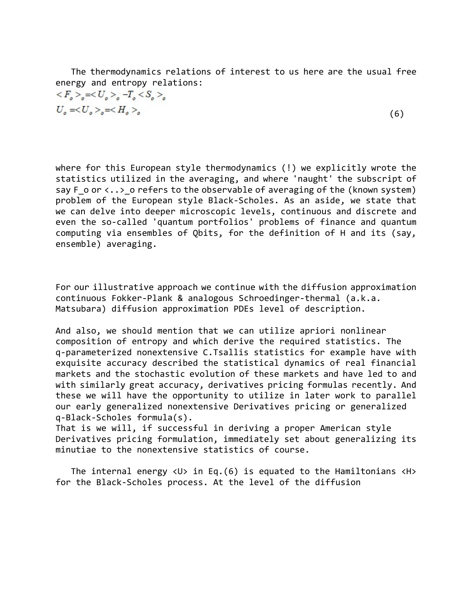The thermodynamics relations of interest to us here are the usual free energy and entropy relations:

$$
\langle F_o \rangle_o = \langle U_o \rangle_o - T_o \langle S_o \rangle_o
$$
  
\n
$$
U_o = \langle U_o \rangle_o = \langle H_o \rangle_o
$$
 (6)

$$
(6)
$$

where for this European style thermodynamics (!) we explicitly wrote the statistics utilized in the averaging, and where 'naught' the subscript of say F o or  $\langle \ldots \rangle$  o refers to the observable of averaging of the (known system) problem of the European style Black-Scholes. As an aside, we state that we can delve into deeper microscopic levels, continuous and discrete and even the so-called 'quantum portfolios' problems of finance and quantum computing via ensembles of Qbits, for the definition of H and its (say, ensemble) averaging.

For our illustrative approach we continue with the diffusion approximation continuous Fokker-Plank & analogous Schroedinger-thermal (a.k.a. Matsubara) diffusion approximation PDEs level of description.

And also, we should mention that we can utilize apriori nonlinear composition of entropy and which derive the required statistics. The q-parameterized nonextensive C.Tsallis statistics for example have with exquisite accuracy described the statistical dynamics of real financial markets and the stochastic evolution of these markets and have led to and with similarly great accuracy, derivatives pricing formulas recently. And these we will have the opportunity to utilize in later work to parallel our early generalized nonextensive Derivatives pricing or generalized q-Black-Scholes formula(s).

That is we will, if successful in deriving a proper American style Derivatives pricing formulation, immediately set about generalizing its minutiae to the nonextensive statistics of course.

The internal energy  $\langle U \rangle$  in Eq.(6) is equated to the Hamiltonians  $\langle H \rangle$ for the Black-Scholes process. At the level of the diffusion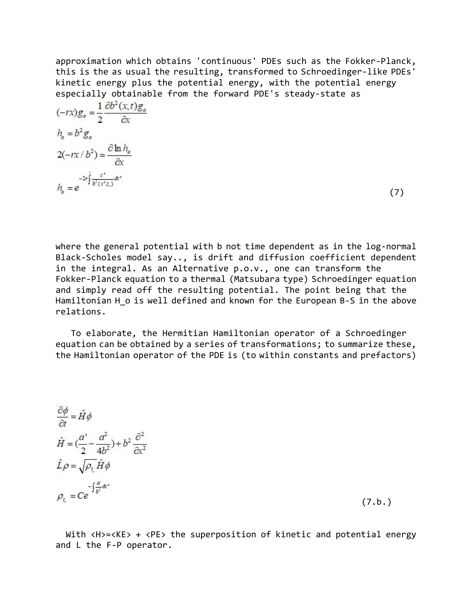approximation which obtains 'continuous' PDEs such as the Fokker-Planck, this is the as usual the resulting, transformed to Schroedinger-like PDEs' kinetic energy plus the potential energy, with the potential energy especially obtainable from the forward PDE's steady-state as

| $(-rx)g_o = \frac{1}{2} \frac{\partial b^2(x,t)g_o}{\partial x}$ |     |
|------------------------------------------------------------------|-----|
| $h_{\circ} = b^2 g_{\circ}$                                      |     |
| $2(-rx/b^2) = \frac{\partial \ln h_o}{\partial x}$               |     |
| $h_o = e^{-2r\int_0^1 \frac{x^*}{b^2(x^*f_o)}dx^*}$              | (7) |

where the general potential with b not time dependent as in the log-normal Black-Scholes model say.., is drift and diffusion coefficient dependent in the integral. As an Alternative p.o.v., one can transform the Fokker-Planck equation to a thermal (Matsubara type) Schroedinger equation and simply read off the resulting potential. The point being that the Hamiltonian H o is well defined and known for the European B-S in the above relations.

 To elaborate, the Hermitian Hamiltonian operator of a Schroedinger equation can be obtained by a series of transformations; to summarize these, the Hamiltonian operator of the PDE is (to within constants and prefactors)

$$
\frac{\partial \phi}{\partial t} = \hat{H}\phi
$$
\n
$$
\hat{H} = \left(\frac{a'}{2} - \frac{a^2}{4b^2}\right) + b^2 \frac{\partial^2}{\partial x^2}
$$
\n
$$
\hat{L}\rho = \sqrt{\rho_t} \hat{H}\phi
$$
\n
$$
\rho_t = Ce^{-\int \frac{a}{b^2} dx^2}
$$

 $(7.b.)$ 

With <H>=<KE> + <PE> the superposition of kinetic and potential energy and L the F-P operator.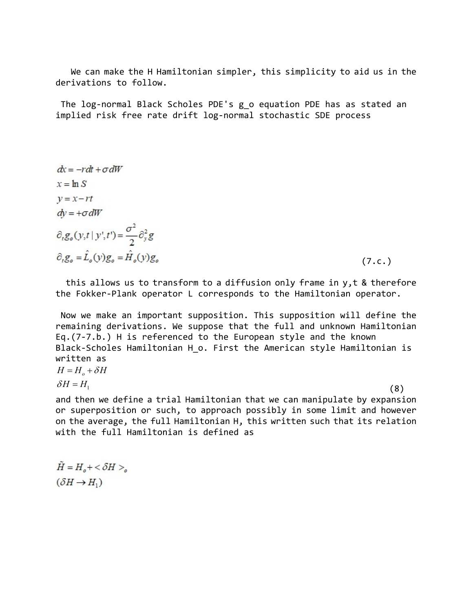We can make the H Hamiltonian simpler, this simplicity to aid us in the derivations to follow.

 The log-normal Black Scholes PDE's g\_o equation PDE has as stated an implied risk free rate drift log-normal stochastic SDE process

$$
dx = -rdt + \sigma dW
$$
  
\n
$$
x = \ln S
$$
  
\n
$$
y = x - rt
$$
  
\n
$$
\frac{\partial_t g_o(y, t \mid y', t')}{\partial_t g_o = \hat{L}_o(y)g_o = \hat{H}_o(y)g_o}
$$
  
\n(7. c.)

 this allows us to transform to a diffusion only frame in y,t & therefore the Fokker-Plank operator L corresponds to the Hamiltonian operator.

 Now we make an important supposition. This supposition will define the remaining derivations. We suppose that the full and unknown Hamiltonian Eq.(7-7.b.) H is referenced to the European style and the known Black-Scholes Hamiltonian H o. First the American style Hamiltonian is written as  $H = H_o + \delta H$ 

 $\delta H = H_1$  $= H_1$  (8)

and then we define a trial Hamiltonian that we can manipulate by expansion or superposition or such, to approach possibly in some limit and however on the average, the full Hamiltonian H, this written such that its relation with the full Hamiltonian is defined as

 $\tilde{H} = H_{\circ} + \langle \delta H \rangle_{\circ}$  $(\delta H \rightarrow H_1)$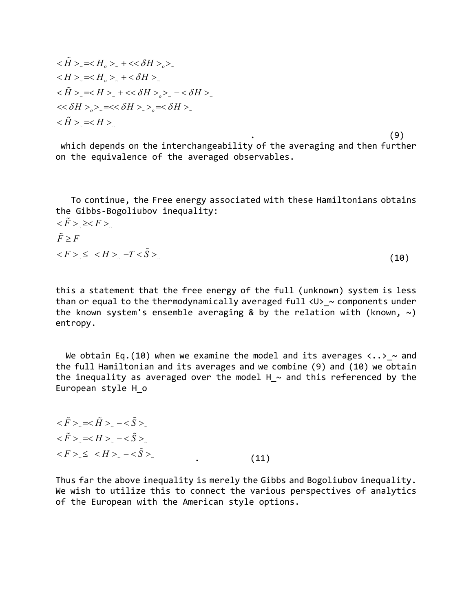$$
\langle \tilde{H} \rangle_{\sim} = \langle H_o \rangle_{\sim} + \langle \langle \delta H \rangle_{o} \rangle_{\sim}
$$
  
\n
$$
\langle H \rangle_{\sim} = \langle H_o \rangle_{\sim} + \langle \delta H \rangle_{\sim}
$$
  
\n
$$
\langle \tilde{H} \rangle_{\sim} = \langle H \rangle_{\sim} + \langle \langle \delta H \rangle_{o} \rangle_{\sim} - \langle \delta H \rangle_{\sim}
$$
  
\n
$$
\langle \langle \delta H \rangle_{o} \rangle_{\sim} = \langle \langle \delta H \rangle_{o} - \langle \delta H \rangle_{\sim}
$$
  
\n
$$
\langle \tilde{H} \rangle_{\sim} = \langle H \rangle_{\sim}
$$

.  $(9)$  which depends on the interchangeability of the averaging and then further on the equivalence of the averaged observables.

 To continue, the Free energy associated with these Hamiltonians obtains the Gibbs-Bogoliubov inequality:

$$
\langle \tilde{F} \rangle \ge \langle F \rangle
$$
  
\n
$$
\tilde{F} \ge F
$$
  
\n
$$
\langle F \rangle \le \langle H \rangle \sim -T \langle \tilde{S} \rangle
$$
\n(10)

this a statement that the free energy of the full (unknown) system is less than or equal to the thermodynamically averaged full  $\langle U \rangle \sim$  components under the known system's ensemble averaging & by the relation with (known,  $\sim$ ) entropy.

We obtain Eq.(10) when we examine the model and its averages  $\langle \ldots \rangle$  ~ and the full Hamiltonian and its averages and we combine (9) and (10) we obtain the inequality as averaged over the model H  $\sim$  and this referenced by the European style H\_o

$$
\langle \tilde{F} \rangle \langle \langle \tilde{H} \rangle \rangle - \langle \tilde{S} \rangle \langle \langle \tilde{H} \rangle \rangle \langle \langle \tilde{H} \rangle \langle \langle \tilde{H} \rangle \rangle \langle \langle \tilde{H} \rangle \langle \langle \tilde{H} \rangle \rangle \langle \langle \tilde{H} \rangle \rangle \langle \langle \tilde{H} \rangle \rangle \langle \langle \tilde{H} \rangle \rangle \langle \langle \tilde{H} \rangle \rangle \langle \langle \tilde{H} \rangle \rangle \langle \langle \tilde{H} \rangle \rangle \langle \langle \tilde{H} \rangle \rangle \langle \langle \tilde{H} \rangle \rangle \langle \langle \tilde{H} \rangle \rangle \langle \langle \tilde{H} \rangle \rangle \langle \langle \tilde{H} \rangle \rangle \langle \langle \tilde{H} \rangle \rangle \langle \langle \tilde{H} \rangle \rangle \langle \langle \tilde{H} \rangle \rangle \langle \langle \tilde{H} \rangle \rangle \langle \langle \tilde{H} \rangle \rangle \langle \langle \tilde{H} \rangle \rangle \langle \langle \tilde{H} \rangle \rangle \langle \langle \tilde{H} \rangle \rangle \langle \langle \tilde{H} \rangle \rangle \langle \langle \tilde{H} \rangle \rangle \langle \langle \tilde{H} \rangle \rangle \langle \langle \tilde{H} \rangle \rangle \langle \langle \tilde{H} \rangle \rangle \langle \langle \tilde{H} \rangle \rangle \langle \langle \tilde{H} \rangle \rangle \langle \langle \tilde{H} \rangle \rangle \langle \langle \tilde{H} \rangle \rangle \langle \langle \tilde{H} \rangle \rangle \langle \langle \tilde{H} \rangle \rangle \langle \langle \tilde{H} \rangle \rangle \langle \langle \tilde{H} \rangle \rangle \langle \langle \tilde{H} \rangle \rangle \langle \langle \tilde{H} \rangle \rangle \langle \langle \tilde{H} \rangle \rangle \langle \langle \tilde{H} \rangle \rangle \langle \langle \tilde{H} \rangle \rangle \langle \langle \tilde{H} \rangle \rangle \langle \langle \tilde{H} \rangle \rangle \langle \langle \tilde{H} \rangle \rangle \langle \langle \tilde{H} \rangle \rangle \langle \langle \tilde{H} \rangle \rangle \langle \langle \tilde{H} \rangle \rangle \langle \langle \tilde{H} \rangle \rangle \langle \langle \tilde{H} \rangle \rangle \langle \langle \tilde{H} \rangle \rangle \langle \langle \tilde{H} \rangle \rangle \
$$

Thus far the above inequality is merely the Gibbs and Bogoliubov inequality. We wish to utilize this to connect the various perspectives of analytics of the European with the American style options.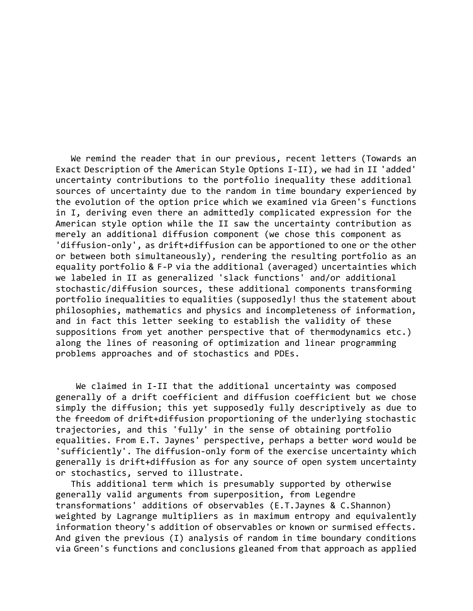We remind the reader that in our previous, recent letters (Towards an Exact Description of the American Style Options I-II), we had in II 'added' uncertainty contributions to the portfolio inequality these additional sources of uncertainty due to the random in time boundary experienced by the evolution of the option price which we examined via Green's functions in I, deriving even there an admittedly complicated expression for the American style option while the II saw the uncertainty contribution as merely an additional diffusion component (we chose this component as 'diffusion-only', as drift+diffusion can be apportioned to one or the other or between both simultaneously), rendering the resulting portfolio as an equality portfolio & F-P via the additional (averaged) uncertainties which we labeled in II as generalized 'slack functions' and/or additional stochastic/diffusion sources, these additional components transforming portfolio inequalities to equalities (supposedly! thus the statement about philosophies, mathematics and physics and incompleteness of information, and in fact this letter seeking to establish the validity of these suppositions from yet another perspective that of thermodynamics etc.) along the lines of reasoning of optimization and linear programming problems approaches and of stochastics and PDEs.

 We claimed in I-II that the additional uncertainty was composed generally of a drift coefficient and diffusion coefficient but we chose simply the diffusion; this yet supposedly fully descriptively as due to the freedom of drift+diffusion proportioning of the underlying stochastic trajectories, and this 'fully' in the sense of obtaining portfolio equalities. From E.T. Jaynes' perspective, perhaps a better word would be 'sufficiently'. The diffusion-only form of the exercise uncertainty which generally is drift+diffusion as for any source of open system uncertainty or stochastics, served to illustrate.

 This additional term which is presumably supported by otherwise generally valid arguments from superposition, from Legendre transformations' additions of observables (E.T.Jaynes & C.Shannon) weighted by Lagrange multipliers as in maximum entropy and equivalently information theory's addition of observables or known or surmised effects. And given the previous (I) analysis of random in time boundary conditions via Green's functions and conclusions gleaned from that approach as applied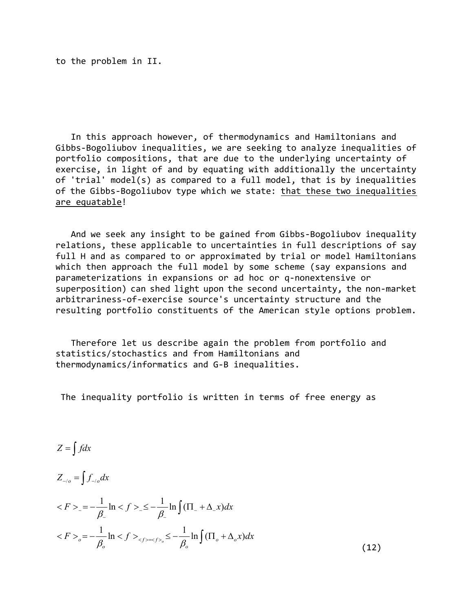to the problem in II.

 In this approach however, of thermodynamics and Hamiltonians and Gibbs-Bogoliubov inequalities, we are seeking to analyze inequalities of portfolio compositions, that are due to the underlying uncertainty of exercise, in light of and by equating with additionally the uncertainty of 'trial' model(s) as compared to a full model, that is by inequalities of the Gibbs-Bogoliubov type which we state: that these two inequalities are equatable!

 And we seek any insight to be gained from Gibbs-Bogoliubov inequality relations, these applicable to uncertainties in full descriptions of say full H and as compared to or approximated by trial or model Hamiltonians which then approach the full model by some scheme (say expansions and parameterizations in expansions or ad hoc or q-nonextensive or superposition) can shed light upon the second uncertainty, the non-market arbitrariness-of-exercise source's uncertainty structure and the resulting portfolio constituents of the American style options problem.

 Therefore let us describe again the problem from portfolio and statistics/stochastics and from Hamiltonians and thermodynamics/informatics and G-B inequalities.

The inequality portfolio is written in terms of free energy as

$$
Z = \int f dx
$$

 $Z_{\sim/0} = \int f_{\sim/0} dx$ 

$$
\langle F \rangle_{-} = -\frac{1}{\beta_{-}} \ln \langle f \rangle_{-} \leq -\frac{1}{\beta_{-}} \ln \int (\Pi_{-} + \Delta_{-} x) dx
$$
  

$$
\langle F \rangle_{0} = -\frac{1}{\beta_{0}} \ln \langle f \rangle_{\langle f \rangle = \langle f \rangle_{0}} \leq -\frac{1}{\beta_{0}} \ln \int (\Pi_{0} + \Delta_{0} x) dx
$$
 (12)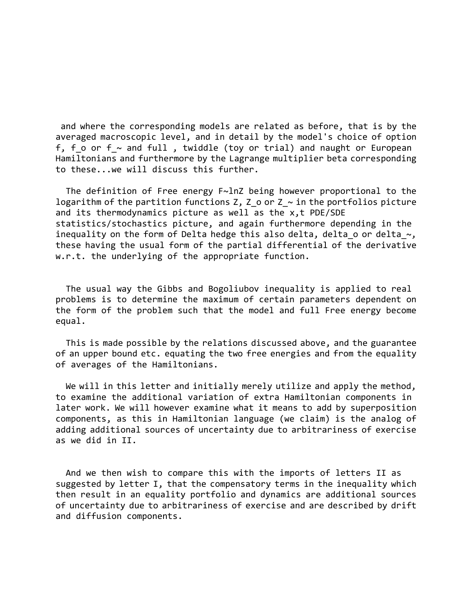and where the corresponding models are related as before, that is by the averaged macroscopic level, and in detail by the model's choice of option f, f\_o or  $f$  and full , twiddle (toy or trial) and naught or European Hamiltonians and furthermore by the Lagrange multiplier beta corresponding to these...we will discuss this further.

 The definition of Free energy F~lnZ being however proportional to the logarithm of the partition functions Z, Z o or Z  $\sim$  in the portfolios picture and its thermodynamics picture as well as the x,t PDE/SDE statistics/stochastics picture, and again furthermore depending in the inequality on the form of Delta hedge this also delta, delta o or delta  $\sim$ , these having the usual form of the partial differential of the derivative w.r.t. the underlying of the appropriate function.

 The usual way the Gibbs and Bogoliubov inequality is applied to real problems is to determine the maximum of certain parameters dependent on the form of the problem such that the model and full Free energy become equal.

 This is made possible by the relations discussed above, and the guarantee of an upper bound etc. equating the two free energies and from the equality of averages of the Hamiltonians.

 We will in this letter and initially merely utilize and apply the method, to examine the additional variation of extra Hamiltonian components in later work. We will however examine what it means to add by superposition components, as this in Hamiltonian language (we claim) is the analog of adding additional sources of uncertainty due to arbitrariness of exercise as we did in II.

 And we then wish to compare this with the imports of letters II as suggested by letter I, that the compensatory terms in the inequality which then result in an equality portfolio and dynamics are additional sources of uncertainty due to arbitrariness of exercise and are described by drift and diffusion components.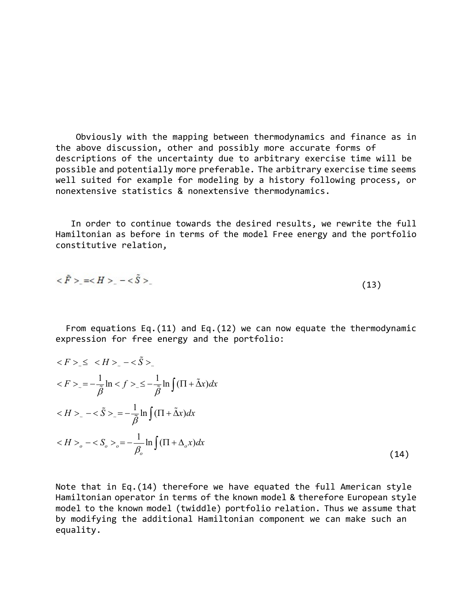Obviously with the mapping between thermodynamics and finance as in the above discussion, other and possibly more accurate forms of descriptions of the uncertainty due to arbitrary exercise time will be possible and potentially more preferable. The arbitrary exercise time seems well suited for example for modeling by a history following process, or nonextensive statistics & nonextensive thermodynamics.

 In order to continue towards the desired results, we rewrite the full Hamiltonian as before in terms of the model Free energy and the portfolio constitutive relation,

$$
<\tilde{F}
$$
 >  $=$  –  $<\tilde{S}$  >  $(13)$ 

 From equations Eq.(11) and Eq.(12) we can now equate the thermodynamic expression for free energy and the portfolio:

$$
\langle F \rangle \le \langle H \rangle \ge -\langle \tilde{S} \rangle.
$$
  
\n
$$
\langle F \rangle \ge -\frac{1}{\tilde{\beta}} \ln \langle f \rangle \le -\frac{1}{\tilde{\beta}} \ln \int (\Pi + \tilde{\Delta}x) dx
$$
  
\n
$$
\langle H \rangle \ge -\langle \tilde{S} \rangle \ge -\frac{1}{\tilde{\beta}} \ln \int (\Pi + \tilde{\Delta}x) dx
$$
  
\n
$$
\langle H \rangle_{0} - \langle S_{0} \rangle_{0} = -\frac{1}{\beta_{0}} \ln \int (\Pi + \Delta_{0}x) dx
$$
\n(14)

Note that in Eq.(14) therefore we have equated the full American style Hamiltonian operator in terms of the known model & therefore European style model to the known model (twiddle) portfolio relation. Thus we assume that by modifying the additional Hamiltonian component we can make such an equality.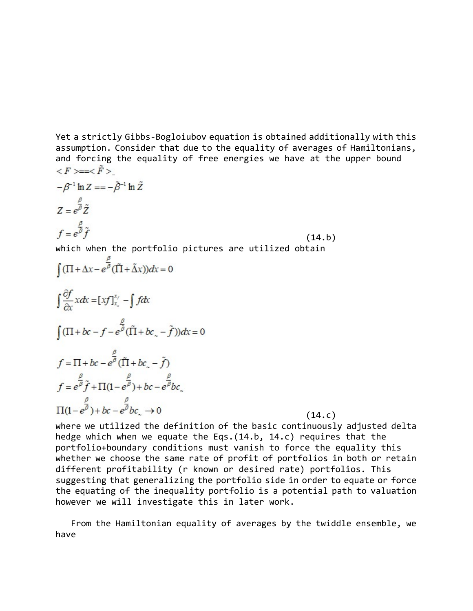Yet a strictly Gibbs-Bogloiubov equation is obtained additionally with this assumption. Consider that due to the equality of averages of Hamiltonians, and forcing the equality of free energies we have at the upper bound  $\langle F \rangle = \langle \tilde{F} \rangle$ 

$$
-\beta^{-1} \ln Z = -\tilde{\beta}^{-1} \ln \tilde{Z}
$$
  
\n
$$
Z = e^{\beta} \tilde{Z}
$$
  
\n
$$
f = e^{\beta} \tilde{f}
$$
  
\nwhich when the portfolio pictures are utilized obtain  
\n
$$
\int (\Pi + \Delta x - e^{\beta} (\tilde{\Pi} + \tilde{\Delta} x)) dx = 0
$$
  
\n
$$
\int \frac{\partial f}{\partial x} x dx = [xf]_{x_{o}}^{x_{f}} - \int f dx
$$
  
\n
$$
\int (\Pi + bc - f - e^{\beta} (\tilde{\Pi} + bc_{o} - \tilde{f})) dx = 0
$$
  
\n
$$
f = \Pi + bc - e^{\beta} (\tilde{\Pi} + bc_{o} - \tilde{f})
$$
  
\n
$$
f = e^{\beta} \tilde{f} + \Pi(1 - e^{\beta}) + bc - e^{\beta} bc
$$
  
\n
$$
\Pi(1 - e^{\beta}) + bc - e^{\beta} bc_{o} \rightarrow 0
$$
  
\n(14. c)

where we utilized the definition of the basic continuously adjusted delta hedge which when we equate the Eqs.(14.b, 14.c) requires that the portfolio+boundary conditions must vanish to force the equality this whether we choose the same rate of profit of portfolios in both or retain different profitability (r known or desired rate) portfolios. This suggesting that generalizing the portfolio side in order to equate or force the equating of the inequality portfolio is a potential path to valuation however we will investigate this in later work.

 From the Hamiltonian equality of averages by the twiddle ensemble, we have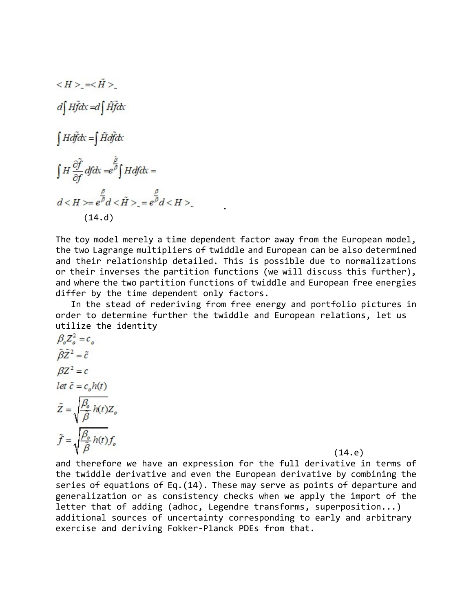$$
\langle H \rangle_{\sim} = \langle \tilde{H} \rangle_{\sim}
$$
\n
$$
d \int H \tilde{f} dx = d \int \tilde{H} \tilde{f} dx
$$
\n
$$
\int H d\tilde{f} dx = \int \tilde{H} d\tilde{f} dx
$$
\n
$$
\int H \frac{\partial \tilde{f}}{\partial f} df dx = e^{\tilde{\beta}} \int H df dx =
$$
\n
$$
d \langle H \rangle = e^{\tilde{\beta}} d \langle \tilde{H} \rangle_{\sim} = e^{\tilde{\beta}} d \langle H \rangle_{\sim}
$$
\n(14. d)

The toy model merely a time dependent factor away from the European model, the two Lagrange multipliers of twiddle and European can be also determined and their relationship detailed. This is possible due to normalizations or their inverses the partition functions (we will discuss this further), and where the two partition functions of twiddle and European free energies differ by the time dependent only factors.

.

 In the stead of rederiving from free energy and portfolio pictures in order to determine further the twiddle and European relations, let us utilize the identity

$$
\beta_o Z_o^2 = c_o
$$
  
\n
$$
\tilde{\beta} \tilde{Z}^2 = \tilde{c}
$$
  
\n
$$
\beta Z^2 = c
$$
  
\nlet  $\tilde{c} = c_o h(t)$   
\n
$$
\tilde{Z} = \sqrt{\frac{\beta_o}{\tilde{\beta}} h(t)} Z_o
$$
  
\n
$$
\tilde{f} = \sqrt{\frac{\beta_o}{\tilde{\beta}} h(t)} f_o
$$

(14.e)

and therefore we have an expression for the full derivative in terms of the twiddle derivative and even the European derivative by combining the series of equations of Eq.(14). These may serve as points of departure and generalization or as consistency checks when we apply the import of the letter that of adding (adhoc, Legendre transforms, superposition...) additional sources of uncertainty corresponding to early and arbitrary exercise and deriving Fokker-Planck PDEs from that.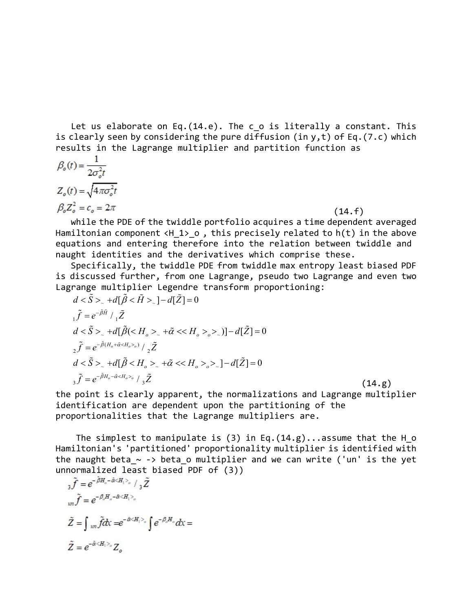Let us elaborate on Eq.(14.e). The c\_o is literally a constant. This is clearly seen by considering the pure diffusion (in  $y, t$ ) of Eq.(7.c) which results in the Lagrange multiplier and partition function as

$$
\beta_o(t) = \frac{1}{2\sigma_o^2 t}
$$
  
\n
$$
Z_o(t) = \sqrt{4\pi\sigma_o^2 t}
$$
  
\n
$$
\beta_o Z_o^2 = c_o = 2\pi
$$
 (14. f)

 while the PDE of the twiddle portfolio acquires a time dependent averaged Hamiltonian component  $\langle H1\rangle$  o, this precisely related to h(t) in the above equations and entering therefore into the relation between twiddle and naught identities and the derivatives which comprise these.

 Specifically, the twiddle PDE from twiddle max entropy least biased PDF is discussed further, from one Lagrange, pseudo two Lagrange and even two Lagrange multiplier Legendre transform proportioning:

$$
d < \tilde{S} >_{\sim} + d[\tilde{\beta} < \tilde{H} >_{\sim}] - d[\tilde{Z}] = 0
$$
  
\n
$$
i\tilde{f} = e^{-\tilde{\beta}\tilde{H}} /_{1}\tilde{Z}
$$
  
\n
$$
d < \tilde{S} >_{\sim} + d[\tilde{\beta} < H_{o} >_{\sim} + \tilde{\alpha} < H_{o} >_{o} >_{\sim}] - d[\tilde{Z}] = 0
$$
  
\n
$$
2\tilde{f} = e^{-\tilde{\beta}(H_{o} + \tilde{\alpha} < H_{o} >_{o})} /_{2}\tilde{Z}
$$
  
\n
$$
d < \tilde{S} >_{\sim} + d[\tilde{\beta} < H_{o} >_{\sim} + \tilde{\alpha} < H_{o} >_{o} >_{\sim}] - d[\tilde{Z}] = 0
$$
  
\n
$$
3\tilde{f} = e^{-\tilde{\beta}H_{o} - \tilde{\alpha} < H_{o} >_{o}} /_{3}\tilde{Z}
$$
\n(14. g)

the point is clearly apparent, the normalizations and Lagrange multiplier identification are dependent upon the partitioning of the proportionalities that the Lagrange multipliers are.

The simplest to manipulate is (3) in Eq.  $(14.g)$ ...assume that the H  $\circ$ Hamiltonian's 'partitioned' proportionality multiplier is identified with the naught beta  $\sim$  -> beta o multiplier and we can write ('un' is the yet unnormalized least biased PDF of (3))

$$
{}_{3}\tilde{f} = e^{-\beta H_{o} - \tilde{\alpha} \langle H_{1} \rangle_{o}} / {}_{3}\tilde{Z}
$$
  
\n
$$
{}_{un}\tilde{f} = e^{-\beta_{o}H_{o} - \tilde{\alpha} \langle H_{1} \rangle_{o}}
$$
  
\n
$$
\tilde{Z} = \int_{un}\tilde{f}dx = e^{-\tilde{\alpha} \langle H_{1} \rangle_{o}} \int e^{-\beta_{o}H_{o}}dx =
$$
  
\n
$$
\tilde{Z} = e^{-\tilde{\alpha} \langle H_{1} \rangle_{o}} Z_{o}
$$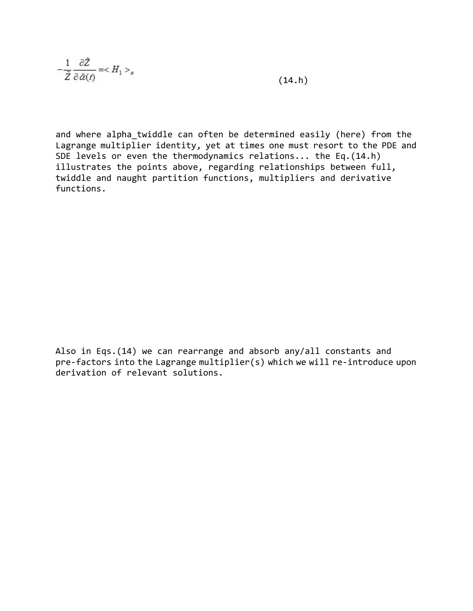$$
-\frac{1}{\tilde{Z}}\frac{\partial \tilde{Z}}{\partial \tilde{\alpha}(t)} = \langle H_1 \rangle_o \tag{14.h}
$$

and where alpha\_twiddle can often be determined easily (here) from the Lagrange multiplier identity, yet at times one must resort to the PDE and SDE levels or even the thermodynamics relations... the Eq.(14.h) illustrates the points above, regarding relationships between full, twiddle and naught partition functions, multipliers and derivative functions.

Also in Eqs.(14) we can rearrange and absorb any/all constants and pre-factors into the Lagrange multiplier(s) which we will re-introduce upon derivation of relevant solutions.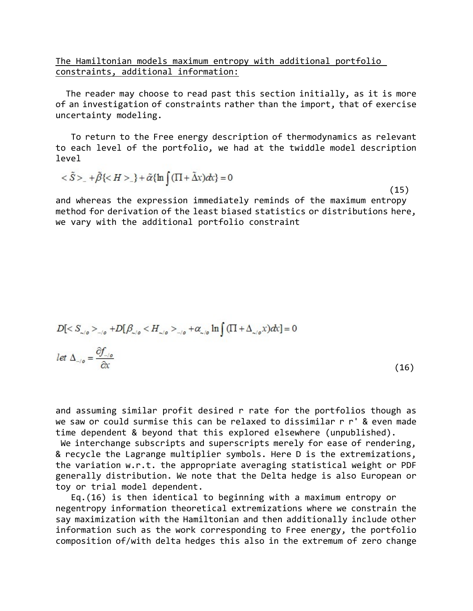## The Hamiltonian models maximum entropy with additional portfolio constraints, additional information:

 The reader may choose to read past this section initially, as it is more of an investigation of constraints rather than the import, that of exercise uncertainty modeling.

 To return to the Free energy description of thermodynamics as relevant to each level of the portfolio, we had at the twiddle model description level

$$
\langle \tilde{S} \rangle_{-} + \tilde{\beta} \langle \langle H \rangle_{-} + \tilde{\alpha} \{ \ln \int (\Pi + \tilde{\Delta} x) dx \} = 0 \tag{15}
$$

and whereas the expression immediately reminds of the maximum entropy method for derivation of the least biased statistics or distributions here, we vary with the additional portfolio constraint

$$
D[< S_{\sim/0} >_{\sim/0} + D[\beta_{\sim/0} < H_{\sim/0} >_{\sim/0} + \alpha_{\sim/0} \ln \int (\Pi + \Delta_{\sim/0} x) dx] = 0
$$
\n
$$
\text{let } \Delta_{\sim/0} = \frac{\partial f_{\sim/0}}{\partial x} \tag{16}
$$

and assuming similar profit desired r rate for the portfolios though as we saw or could surmise this can be relaxed to dissimilar r r' & even made time dependent & beyond that this explored elsewhere (unpublished).

We interchange subscripts and superscripts merely for ease of rendering, & recycle the Lagrange multiplier symbols. Here D is the extremizations, the variation w.r.t. the appropriate averaging statistical weight or PDF generally distribution. We note that the Delta hedge is also European or toy or trial model dependent.

 Eq.(16) is then identical to beginning with a maximum entropy or negentropy information theoretical extremizations where we constrain the say maximization with the Hamiltonian and then additionally include other information such as the work corresponding to Free energy, the portfolio composition of/with delta hedges this also in the extremum of zero change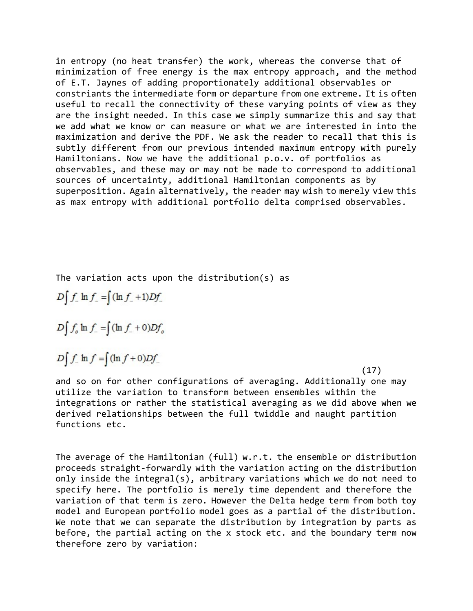in entropy (no heat transfer) the work, whereas the converse that of minimization of free energy is the max entropy approach, and the method of E.T. Jaynes of adding proportionately additional observables or constriants the intermediate form or departure from one extreme. It is often useful to recall the connectivity of these varying points of view as they are the insight needed. In this case we simply summarize this and say that we add what we know or can measure or what we are interested in into the maximization and derive the PDF. We ask the reader to recall that this is subtly different from our previous intended maximum entropy with purely Hamiltonians. Now we have the additional p.o.v. of portfolios as observables, and these may or may not be made to correspond to additional sources of uncertainty, additional Hamiltonian components as by superposition. Again alternatively, the reader may wish to merely view this as max entropy with additional portfolio delta comprised observables.

The variation acts upon the distribution(s) as

 $D \int f$  ln  $f$  =  $\int (\ln f + 1)Df$ 

 $D \int f_o \ln f = \int (\ln f + 0) D f_o$ 

 $D \int f$  ln  $f = \int (\ln f + 0) D f$ 

 $(17)$ 

and so on for other configurations of averaging. Additionally one may utilize the variation to transform between ensembles within the integrations or rather the statistical averaging as we did above when we derived relationships between the full twiddle and naught partition functions etc.

The average of the Hamiltonian (full) w.r.t. the ensemble or distribution proceeds straight-forwardly with the variation acting on the distribution only inside the integral(s), arbitrary variations which we do not need to specify here. The portfolio is merely time dependent and therefore the variation of that term is zero. However the Delta hedge term from both toy model and European portfolio model goes as a partial of the distribution. We note that we can separate the distribution by integration by parts as before, the partial acting on the x stock etc. and the boundary term now therefore zero by variation: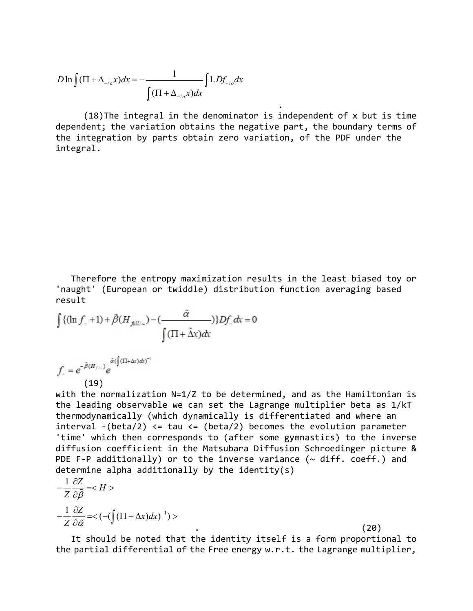$$
D \ln \int (\Pi + \Delta_{\alpha/\sigma} x) dx = -\frac{1}{\int (\Pi + \Delta_{\alpha/\sigma} x) dx} \int 1. D f_{\alpha/\sigma} dx
$$

 (18)The integral in the denominator is independent of x but is time dependent; the variation obtains the negative part, the boundary terms of the integration by parts obtain zero variation, of the PDF under the integral.

.

 Therefore the entropy maximization results in the least biased toy or 'naught' (European or twiddle) distribution function averaging based result

$$
\int \{( \ln f_- + 1) + \tilde{\beta}(H_{\text{full}/2}) - (\frac{\tilde{\alpha}}{\sqrt{(\Pi + \tilde{\Delta}x)}}) \} Df_- dx = 0
$$

 $f_{-} = e^{-\tilde{\beta}(H_{f/-})} e^{\tilde{\alpha}(\int (\Pi + \Delta x) dx)^{-1}}$ <br>(19)

with the normalization N=1/Z to be determined, and as the Hamiltonian is the leading observable we can set the Lagrange multiplier beta as 1/kT thermodynamically (which dynamically is differentiated and where an interval  $-(beta/2) \leq$  tau  $\leq$  (beta/2) becomes the evolution parameter 'time' which then corresponds to (after some gymnastics) to the inverse diffusion coefficient in the Matsubara Diffusion Schroedinger picture & PDE F-P additionally) or to the inverse variance ( $\sim$  diff. coeff.) and determine alpha additionally by the identity(s)

$$
-\frac{1}{Z}\frac{\partial Z}{\partial \tilde{\beta}} =
$$
  

$$
-\frac{1}{Z}\frac{\partial Z}{\partial \tilde{\alpha}} = <(-(\int (\Pi + \Delta x) dx)^{-1}) >
$$

 $\qquad \qquad \qquad \qquad (20)$ 

 It should be noted that the identity itself is a form proportional to the partial differential of the Free energy w.r.t. the Lagrange multiplier,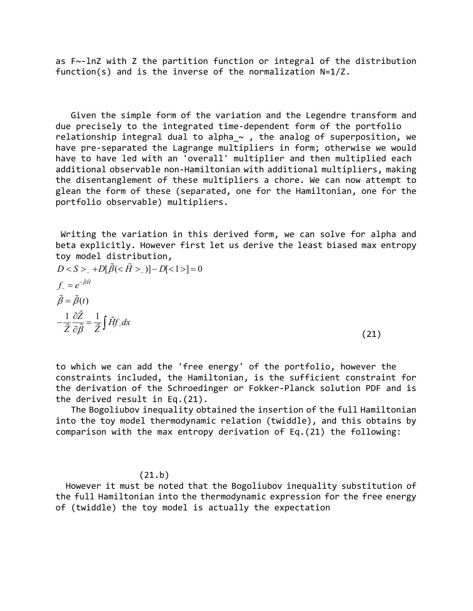as F~-lnZ with Z the partition function or integral of the distribution function(s) and is the inverse of the normalization N=1/Z.

 Given the simple form of the variation and the Legendre transform and due precisely to the integrated time-dependent form of the portfolio relationship integral dual to alpha  $\sim$  , the analog of superposition, we have pre-separated the Lagrange multipliers in form; otherwise we would have to have led with an 'overall' multiplier and then multiplied each additional observable non-Hamiltonian with additional multipliers, making the disentanglement of these multipliers a chore. We can now attempt to glean the form of these (separated, one for the Hamiltonian, one for the portfolio observable) multipliers.

 Writing the variation in this derived form, we can solve for alpha and beta explicitly. However first let us derive the least biased max entropy toy model distribution,

 $D < S > |D[\tilde{\beta}(<\tilde{H} > |)] - D[<1>]=0$  $\tilde{\beta} = \tilde{\beta}(t)$  $\frac{1}{\tilde{a}} \frac{\partial \tilde{Z}}{\partial \tilde{z}} = \frac{1}{\tilde{a}} \int \tilde{H} f_z dx$  $f_{\sim} = e^{-\tilde{\beta}\tilde{H}}$  $\overline{\tilde{Z}}$   $\overline{\partial} \overline{\tilde{\beta}}$   $\overline{\tilde{Z}}$  J  $-\frac{1}{\tilde{z}}\frac{\partial \tilde{Z}}{\partial \tilde{z}} = \frac{1}{\tilde{z}}$  $\frac{\partial Z}{\partial \tilde{\beta}} = \frac{1}{\tilde{Z}} \int \tilde{H} f$  $\tilde{\phantom{a}}$  $\frac{1}{\tilde{Z}}\frac{\partial \tilde{Z}}{\partial \tilde{\beta}} = \frac{1}{\tilde{Z}}\int \tilde{H}_{\tilde{\beta}}$ (21)

to which we can add the 'free energy' of the portfolio, however the constraints included, the Hamiltonian, is the sufficient constraint for the derivation of the Schroedinger or Fokker-Planck solution PDF and is the derived result in Eq.(21).

 The Bogoliubov inequality obtained the insertion of the full Hamiltonian into the toy model thermodynamic relation (twiddle), and this obtains by comparison with the max entropy derivation of Eq.(21) the following:

## (21.b)

 However it must be noted that the Bogoliubov inequality substitution of the full Hamiltonian into the thermodynamic expression for the free energy of (twiddle) the toy model is actually the expectation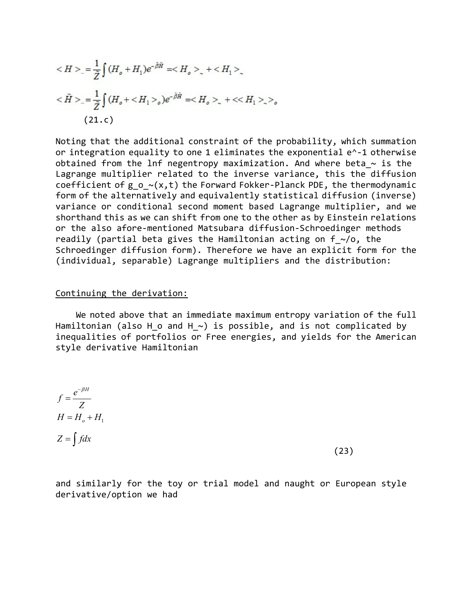$$
\langle H \rangle_{-} = \frac{1}{\tilde{Z}} \int (H_o + H_1) e^{-\tilde{\beta}\tilde{H}} = \langle H_o \rangle_{-} + \langle H_1 \rangle_{-}
$$
  

$$
\langle \tilde{H} \rangle_{-} = \frac{1}{\tilde{Z}} \int (H_o + \langle H_1 \rangle_o) e^{-\tilde{\beta}\tilde{H}} = \langle H_o \rangle_{-} + \langle \langle H_1 \rangle_{-} \rangle_o
$$
  
(21.c)

Noting that the additional constraint of the probability, which summation or integration equality to one 1 eliminates the exponential e^-1 otherwise obtained from the lnf negentropy maximization. And where beta  $\sim$  is the Lagrange multiplier related to the inverse variance, this the diffusion coefficient of g  $o$   $\sim$ (x,t) the Forward Fokker-Planck PDE, the thermodynamic form of the alternatively and equivalently statistical diffusion (inverse) variance or conditional second moment based Lagrange multiplier, and we shorthand this as we can shift from one to the other as by Einstein relations or the also afore-mentioned Matsubara diffusion-Schroedinger methods readily (partial beta gives the Hamiltonian acting on  $f \sim /o$ , the Schroedinger diffusion form). Therefore we have an explicit form for the (individual, separable) Lagrange multipliers and the distribution:

#### Continuing the derivation:

 We noted above that an immediate maximum entropy variation of the full Hamiltonian (also H o and H  $\sim$ ) is possible, and is not complicated by inequalities of portfolios or Free energies, and yields for the American style derivative Hamiltonian

$$
f = \frac{e^{-\beta H}}{Z}
$$
  
\n
$$
H = H_o + H_1
$$
  
\n
$$
Z = \int f dx
$$
\n(23)

and similarly for the toy or trial model and naught or European style derivative/option we had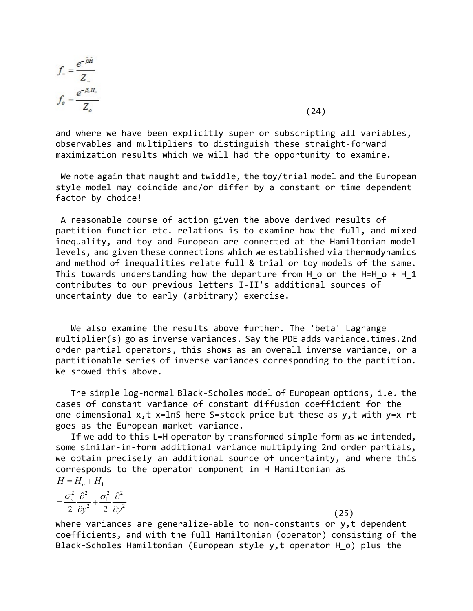$$
f_{-} = \frac{e^{-\hat{\beta}\hat{H}}}{Z_{-}}
$$

$$
f_{o} = \frac{e^{-\beta_{o}H_{o}}}{Z_{o}}
$$

 $(24)$ 

and where we have been explicitly super or subscripting all variables, observables and multipliers to distinguish these straight-forward maximization results which we will had the opportunity to examine.

 We note again that naught and twiddle, the toy/trial model and the European style model may coincide and/or differ by a constant or time dependent factor by choice!

 A reasonable course of action given the above derived results of partition function etc. relations is to examine how the full, and mixed inequality, and toy and European are connected at the Hamiltonian model levels, and given these connections which we established via thermodynamics and method of inequalities relate full & trial or toy models of the same. This towards understanding how the departure from H  $\circ$  or the H=H  $\circ$  + H  $1$ contributes to our previous letters I-II's additional sources of uncertainty due to early (arbitrary) exercise.

 We also examine the results above further. The 'beta' Lagrange multiplier(s) go as inverse variances. Say the PDE adds variance.times.2nd order partial operators, this shows as an overall inverse variance, or a partitionable series of inverse variances corresponding to the partition. We showed this above.

 The simple log-normal Black-Scholes model of European options, i.e. the cases of constant variance of constant diffusion coefficient for the one-dimensional x,t x=lnS here S=stock price but these as y,t with y=x-rt goes as the European market variance.

 If we add to this L=H operator by transformed simple form as we intended, some similar-in-form additional variance multiplying 2nd order partials, we obtain precisely an additional source of uncertainty, and where this corresponds to the operator component in H Hamiltonian as  $H = H_{o} + H_{1}$ 

$$
=\frac{\sigma_o^2}{2}\frac{\partial^2}{\partial y^2} + \frac{\sigma_1^2}{2}\frac{\partial^2}{\partial y^2}
$$
 (25)

where variances are generalize-able to non-constants or y,t dependent coefficients, and with the full Hamiltonian (operator) consisting of the Black-Scholes Hamiltonian (European style y,t operator H\_o) plus the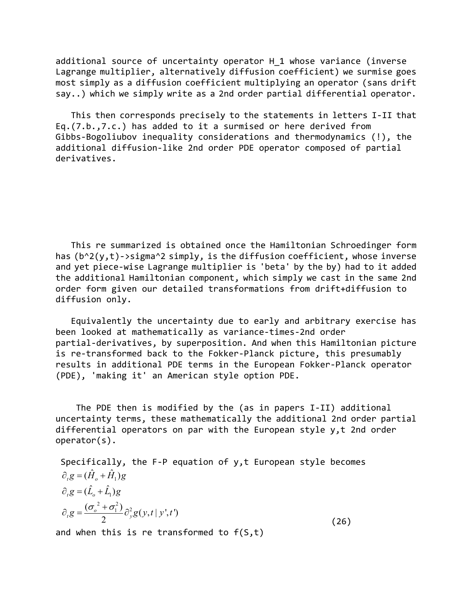additional source of uncertainty operator H\_1 whose variance (inverse Lagrange multiplier, alternatively diffusion coefficient) we surmise goes most simply as a diffusion coefficient multiplying an operator (sans drift say..) which we simply write as a 2nd order partial differential operator.

 This then corresponds precisely to the statements in letters I-II that Eq.(7.b.,7.c.) has added to it a surmised or here derived from Gibbs-Bogoliubov inequality considerations and thermodynamics (!), the additional diffusion-like 2nd order PDE operator composed of partial derivatives.

 This re summarized is obtained once the Hamiltonian Schroedinger form has  $(b^2(y,t)-\frac{1}{2}m^2)$  simply, is the diffusion coefficient, whose inverse and yet piece-wise Lagrange multiplier is 'beta' by the by) had to it added the additional Hamiltonian component, which simply we cast in the same 2nd order form given our detailed transformations from drift+diffusion to diffusion only.

 Equivalently the uncertainty due to early and arbitrary exercise has been looked at mathematically as variance-times-2nd order partial-derivatives, by superposition. And when this Hamiltonian picture is re-transformed back to the Fokker-Planck picture, this presumably results in additional PDE terms in the European Fokker-Planck operator (PDE), 'making it' an American style option PDE.

 The PDE then is modified by the (as in papers I-II) additional uncertainty terms, these mathematically the additional 2nd order partial differential operators on par with the European style y,t 2nd order operator(s).

 Specifically, the F-P equation of y,t European style becomes  $\partial_t g = (\hat{H}_o + \hat{H}_1)g$  $\partial_t g = (\hat{L}_o + \hat{L}_1)g$  $2^{2}$  $\frac{(\sigma_o^2 + \sigma_1^2)}{2} \partial_v^2 g(y,t|y',t')$ 2  $\partial_t g = \frac{(\sigma_o^2 + \sigma_1^2)}{2} \partial_y^2 g(y,t|y',t')$ (26)

and when this is re transformed to  $f(S,t)$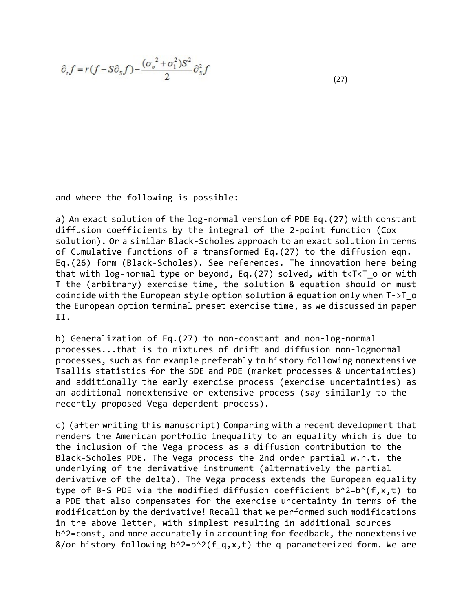$$
\partial_{\tau} f = r(f - S\partial_{\varsigma} f) - \frac{(\sigma_o^2 + \sigma_1^2)S^2}{2} \partial_{\varsigma}^2 f \tag{27}
$$

and where the following is possible:

a) An exact solution of the log-normal version of PDE Eq.(27) with constant diffusion coefficients by the integral of the 2-point function (Cox solution). Or a similar Black-Scholes approach to an exact solution in terms of Cumulative functions of a transformed Eq.(27) to the diffusion eqn. Eq.(26) form (Black-Scholes). See references. The innovation here being that with log-normal type or beyond, Eq.  $(27)$  solved, with t<T<T o or with T the (arbitrary) exercise time, the solution & equation should or must coincide with the European style option solution & equation only when T->T\_o the European option terminal preset exercise time, as we discussed in paper II.

b) Generalization of Eq.(27) to non-constant and non-log-normal processes...that is to mixtures of drift and diffusion non-lognormal processes, such as for example preferably to history following nonextensive Tsallis statistics for the SDE and PDE (market processes & uncertainties) and additionally the early exercise process (exercise uncertainties) as an additional nonextensive or extensive process (say similarly to the recently proposed Vega dependent process).

c) (after writing this manuscript) Comparing with a recent development that renders the American portfolio inequality to an equality which is due to the inclusion of the Vega process as a diffusion contribution to the Black-Scholes PDE. The Vega process the 2nd order partial w.r.t. the underlying of the derivative instrument (alternatively the partial derivative of the delta). The Vega process extends the European equality type of B-S PDE via the modified diffusion coefficient  $b^2= b^2(f,x,t)$  to a PDE that also compensates for the exercise uncertainty in terms of the modification by the derivative! Recall that we performed such modifications in the above letter, with simplest resulting in additional sources b^2=const, and more accurately in accounting for feedback, the nonextensive &/or history following  $b^2=2b^2($ f q,x,t) the q-parameterized form. We are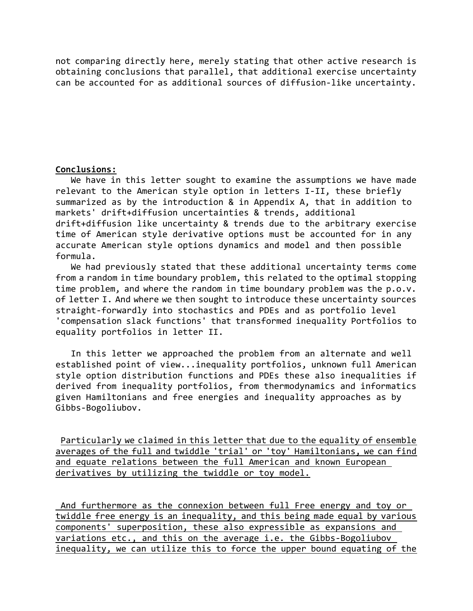not comparing directly here, merely stating that other active research is obtaining conclusions that parallel, that additional exercise uncertainty can be accounted for as additional sources of diffusion-like uncertainty.

## Conclusions:

 We have in this letter sought to examine the assumptions we have made relevant to the American style option in letters I-II, these briefly summarized as by the introduction & in Appendix A, that in addition to markets' drift+diffusion uncertainties & trends, additional drift+diffusion like uncertainty & trends due to the arbitrary exercise time of American style derivative options must be accounted for in any accurate American style options dynamics and model and then possible formula.

 We had previously stated that these additional uncertainty terms come from a random in time boundary problem, this related to the optimal stopping time problem, and where the random in time boundary problem was the p.o.v. of letter I. And where we then sought to introduce these uncertainty sources straight-forwardly into stochastics and PDEs and as portfolio level 'compensation slack functions' that transformed inequality Portfolios to equality portfolios in letter II.

 In this letter we approached the problem from an alternate and well established point of view...inequality portfolios, unknown full American style option distribution functions and PDEs these also inequalities if derived from inequality portfolios, from thermodynamics and informatics given Hamiltonians and free energies and inequality approaches as by Gibbs-Bogoliubov.

 Particularly we claimed in this letter that due to the equality of ensemble averages of the full and twiddle 'trial' or 'toy' Hamiltonians, we can find and equate relations between the full American and known European derivatives by utilizing the twiddle or toy model.

 And furthermore as the connexion between full Free energy and toy or twiddle free energy is an inequality, and this being made equal by various components' superposition, these also expressible as expansions and variations etc., and this on the average i.e. the Gibbs-Bogoliubov inequality, we can utilize this to force the upper bound equating of the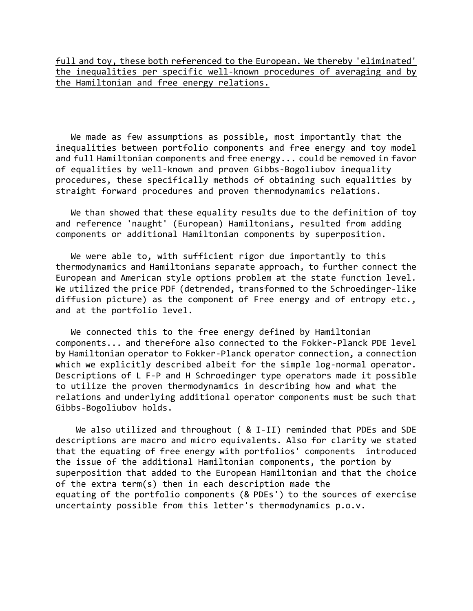full and toy, these both referenced to the European. We thereby 'eliminated' the inequalities per specific well-known procedures of averaging and by the Hamiltonian and free energy relations.

 We made as few assumptions as possible, most importantly that the inequalities between portfolio components and free energy and toy model and full Hamiltonian components and free energy... could be removed in favor of equalities by well-known and proven Gibbs-Bogoliubov inequality procedures, these specifically methods of obtaining such equalities by straight forward procedures and proven thermodynamics relations.

 We than showed that these equality results due to the definition of toy and reference 'naught' (European) Hamiltonians, resulted from adding components or additional Hamiltonian components by superposition.

 We were able to, with sufficient rigor due importantly to this thermodynamics and Hamiltonians separate approach, to further connect the European and American style options problem at the state function level. We utilized the price PDF (detrended, transformed to the Schroedinger-like diffusion picture) as the component of Free energy and of entropy etc., and at the portfolio level.

 We connected this to the free energy defined by Hamiltonian components... and therefore also connected to the Fokker-Planck PDE level by Hamiltonian operator to Fokker-Planck operator connection, a connection which we explicitly described albeit for the simple log-normal operator. Descriptions of L F-P and H Schroedinger type operators made it possible to utilize the proven thermodynamics in describing how and what the relations and underlying additional operator components must be such that Gibbs-Bogoliubov holds.

We also utilized and throughout ( & I-II) reminded that PDEs and SDE descriptions are macro and micro equivalents. Also for clarity we stated that the equating of free energy with portfolios' components introduced the issue of the additional Hamiltonian components, the portion by superposition that added to the European Hamiltonian and that the choice of the extra term(s) then in each description made the equating of the portfolio components (& PDEs') to the sources of exercise uncertainty possible from this letter's thermodynamics p.o.v.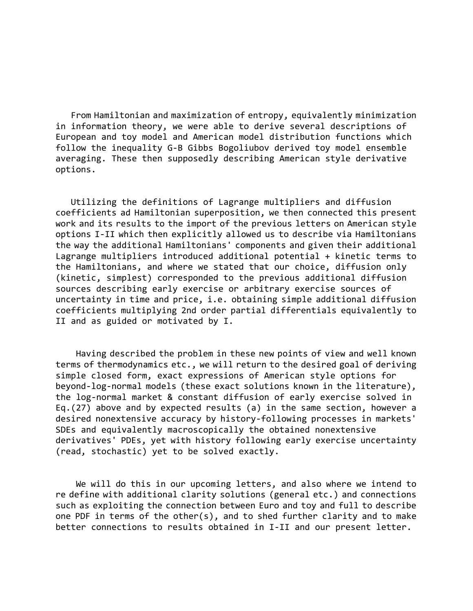From Hamiltonian and maximization of entropy, equivalently minimization in information theory, we were able to derive several descriptions of European and toy model and American model distribution functions which follow the inequality G-B Gibbs Bogoliubov derived toy model ensemble averaging. These then supposedly describing American style derivative options.

 Utilizing the definitions of Lagrange multipliers and diffusion coefficients ad Hamiltonian superposition, we then connected this present work and its results to the import of the previous letters on American style options I-II which then explicitly allowed us to describe via Hamiltonians the way the additional Hamiltonians' components and given their additional Lagrange multipliers introduced additional potential + kinetic terms to the Hamiltonians, and where we stated that our choice, diffusion only (kinetic, simplest) corresponded to the previous additional diffusion sources describing early exercise or arbitrary exercise sources of uncertainty in time and price, i.e. obtaining simple additional diffusion coefficients multiplying 2nd order partial differentials equivalently to II and as guided or motivated by I.

 Having described the problem in these new points of view and well known terms of thermodynamics etc., we will return to the desired goal of deriving simple closed form, exact expressions of American style options for beyond-log-normal models (these exact solutions known in the literature), the log-normal market & constant diffusion of early exercise solved in Eq.(27) above and by expected results (a) in the same section, however a desired nonextensive accuracy by history-following processes in markets' SDEs and equivalently macroscopically the obtained nonextensive derivatives' PDEs, yet with history following early exercise uncertainty (read, stochastic) yet to be solved exactly.

 We will do this in our upcoming letters, and also where we intend to re define with additional clarity solutions (general etc.) and connections such as exploiting the connection between Euro and toy and full to describe one PDF in terms of the other(s), and to shed further clarity and to make better connections to results obtained in I-II and our present letter.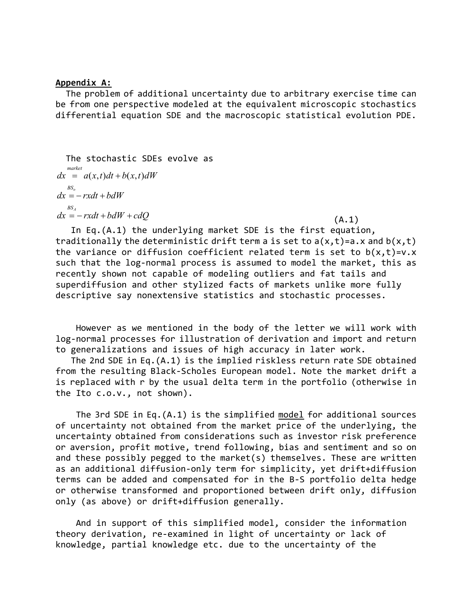#### Appendix A:

 The problem of additional uncertainty due to arbitrary exercise time can be from one perspective modeled at the equivalent microscopic stochastics differential equation SDE and the macroscopic statistical evolution PDE.

 The stochastic SDEs evolve as  $dx = a(x,t)dt + b(x,t)dW$  $BS_o$  $BS_{A}$ market  $dx = -rxdt + bdW$  $dx = -rxdt + bdW + cdQ$  (A.1)

 In Eq.(A.1) the underlying market SDE is the first equation, traditionally the deterministic drift term a is set to  $a(x,t)=a$ .x and  $b(x,t)$ the variance or diffusion coefficient related term is set to  $b(x,t)=v.x$ such that the log-normal process is assumed to model the market, this as recently shown not capable of modeling outliers and fat tails and superdiffusion and other stylized facts of markets unlike more fully descriptive say nonextensive statistics and stochastic processes.

 However as we mentioned in the body of the letter we will work with log-normal processes for illustration of derivation and import and return to generalizations and issues of high accuracy in later work.

 The 2nd SDE in Eq.(A.1) is the implied riskless return rate SDE obtained from the resulting Black-Scholes European model. Note the market drift a is replaced with r by the usual delta term in the portfolio (otherwise in the Ito c.o.v., not shown).

 The 3rd SDE in Eq.(A.1) is the simplified model for additional sources of uncertainty not obtained from the market price of the underlying, the uncertainty obtained from considerations such as investor risk preference or aversion, profit motive, trend following, bias and sentiment and so on and these possibly pegged to the market(s) themselves. These are written as an additional diffusion-only term for simplicity, yet drift+diffusion terms can be added and compensated for in the B-S portfolio delta hedge or otherwise transformed and proportioned between drift only, diffusion only (as above) or drift+diffusion generally.

 And in support of this simplified model, consider the information theory derivation, re-examined in light of uncertainty or lack of knowledge, partial knowledge etc. due to the uncertainty of the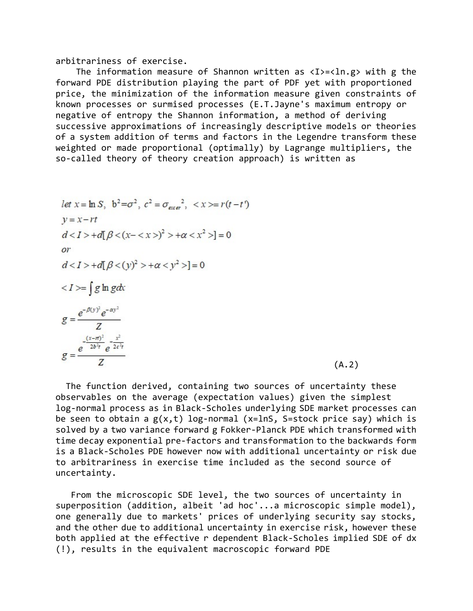arbitrariness of exercise.

The information measure of Shannon written as  $\langle I \rangle = \langle \ln.g \rangle$  with g the forward PDE distribution playing the part of PDF yet with proportioned price, the minimization of the information measure given constraints of known processes or surmised processes (E.T.Jayne's maximum entropy or negative of entropy the Shannon information, a method of deriving successive approximations of increasingly descriptive models or theories of a system addition of terms and factors in the Legendre transform these weighted or made proportional (optimally) by Lagrange multipliers, the so-called theory of theory creation approach) is written as

let 
$$
x = \ln S
$$
,  $b^2 = \sigma^2$ ,  $c^2 = \sigma_{exev}^2$ ,  $\langle x \rangle = r(t-t')$   
\n $y = x - rt$   
\n $d \langle 1 \rangle + d[\beta \langle (x - \langle x \rangle)^2 \rangle + \alpha \langle x^2 \rangle] = 0$   
\nor  
\n $d \langle 1 \rangle + d[\beta \langle (y)^2 \rangle + \alpha \langle y^2 \rangle] = 0$   
\n $\langle 1 \rangle = \int g \ln g dx$   
\n $g = \frac{e^{-\beta(y)^2} e^{-\alpha y^2}}{Z}$   
\n $g = \frac{e^{-\frac{(x-\pi)^2}{2b^2t}e^{-\frac{x^2}{2c^2t}}}}{Z}$  (A.2)

 The function derived, containing two sources of uncertainty these observables on the average (expectation values) given the simplest log-normal process as in Black-Scholes underlying SDE market processes can be seen to obtain a  $g(x,t)$  log-normal (x=lnS, S=stock price say) which is solved by a two variance forward g Fokker-Planck PDE which transformed with time decay exponential pre-factors and transformation to the backwards form is a Black-Scholes PDE however now with additional uncertainty or risk due to arbitrariness in exercise time included as the second source of uncertainty.

 From the microscopic SDE level, the two sources of uncertainty in superposition (addition, albeit 'ad hoc'...a microscopic simple model), one generally due to markets' prices of underlying security say stocks, and the other due to additional uncertainty in exercise risk, however these both applied at the effective r dependent Black-Scholes implied SDE of dx (!), results in the equivalent macroscopic forward PDE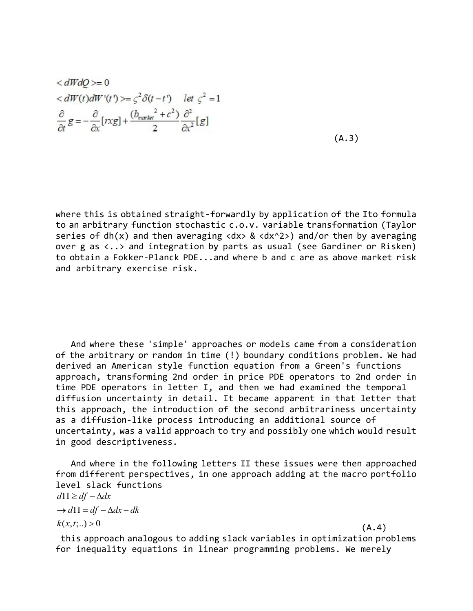$$
\langle dWdQ \rangle = 0
$$
  
\n
$$
\langle dW(t) dW'(t') \rangle = \zeta^2 \delta(t - t') \quad let \zeta^2 = 1
$$
  
\n
$$
\frac{\partial}{\partial t} g = -\frac{\partial}{\partial x} [x \chi g] + \frac{(b_{\text{market}}^2 + c^2)}{2} \frac{\partial^2}{\partial x^2} [g]
$$
  
\n(A.3)

where this is obtained straight-forwardly by application of the Ito formula to an arbitrary function stochastic c.o.v. variable transformation (Taylor series of dh(x) and then averaging  $dx > 8$   $dx^2$ ) and/or then by averaging over g as <..> and integration by parts as usual (see Gardiner or Risken) to obtain a Fokker-Planck PDE...and where b and c are as above market risk and arbitrary exercise risk.

 And where these 'simple' approaches or models came from a consideration of the arbitrary or random in time (!) boundary conditions problem. We had derived an American style function equation from a Green's functions approach, transforming 2nd order in price PDE operators to 2nd order in time PDE operators in letter I, and then we had examined the temporal diffusion uncertainty in detail. It became apparent in that letter that this approach, the introduction of the second arbitrariness uncertainty as a diffusion-like process introducing an additional source of uncertainty, was a valid approach to try and possibly one which would result in good descriptiveness.

 And where in the following letters II these issues were then approached from different perspectives, in one approach adding at the macro portfolio level slack functions  $k(x,t;..) > 0$  $d\Pi \geq df - \Delta dx$  $\rightarrow d\Pi = df - \Delta dx - dk$  $>0$  (A.4)

 this approach analogous to adding slack variables in optimization problems for inequality equations in linear programming problems. We merely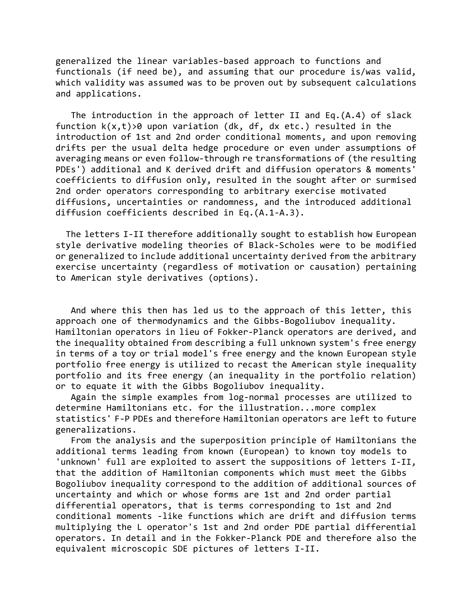generalized the linear variables-based approach to functions and functionals (if need be), and assuming that our procedure is/was valid, which validity was assumed was to be proven out by subsequent calculations and applications.

 The introduction in the approach of letter II and Eq.(A.4) of slack function  $k(x,t) > 0$  upon variation (dk, df, dx etc.) resulted in the introduction of 1st and 2nd order conditional moments, and upon removing drifts per the usual delta hedge procedure or even under assumptions of averaging means or even follow-through re transformations of (the resulting PDEs') additional and K derived drift and diffusion operators & moments' coefficients to diffusion only, resulted in the sought after or surmised 2nd order operators corresponding to arbitrary exercise motivated diffusions, uncertainties or randomness, and the introduced additional diffusion coefficients described in Eq.(A.1-A.3).

 The letters I-II therefore additionally sought to establish how European style derivative modeling theories of Black-Scholes were to be modified or generalized to include additional uncertainty derived from the arbitrary exercise uncertainty (regardless of motivation or causation) pertaining to American style derivatives (options).

 And where this then has led us to the approach of this letter, this approach one of thermodynamics and the Gibbs-Bogoliubov inequality. Hamiltonian operators in lieu of Fokker-Planck operators are derived, and the inequality obtained from describing a full unknown system's free energy in terms of a toy or trial model's free energy and the known European style portfolio free energy is utilized to recast the American style inequality portfolio and its free energy (an inequality in the portfolio relation) or to equate it with the Gibbs Bogoliubov inequality.

 Again the simple examples from log-normal processes are utilized to determine Hamiltonians etc. for the illustration...more complex statistics' F-P PDEs and therefore Hamiltonian operators are left to future generalizations.

 From the analysis and the superposition principle of Hamiltonians the additional terms leading from known (European) to known toy models to 'unknown' full are exploited to assert the suppositions of letters I-II, that the addition of Hamiltonian components which must meet the Gibbs Bogoliubov inequality correspond to the addition of additional sources of uncertainty and which or whose forms are 1st and 2nd order partial differential operators, that is terms corresponding to 1st and 2nd conditional moments -like functions which are drift and diffusion terms multiplying the L operator's 1st and 2nd order PDE partial differential operators. In detail and in the Fokker-Planck PDE and therefore also the equivalent microscopic SDE pictures of letters I-II.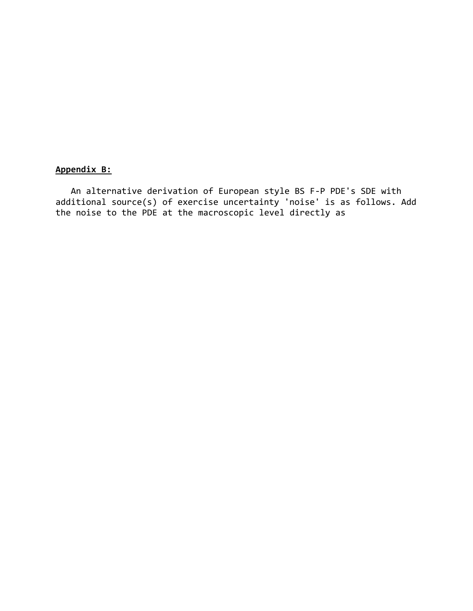# Appendix B:

 An alternative derivation of European style BS F-P PDE's SDE with additional source(s) of exercise uncertainty 'noise' is as follows. Add the noise to the PDE at the macroscopic level directly as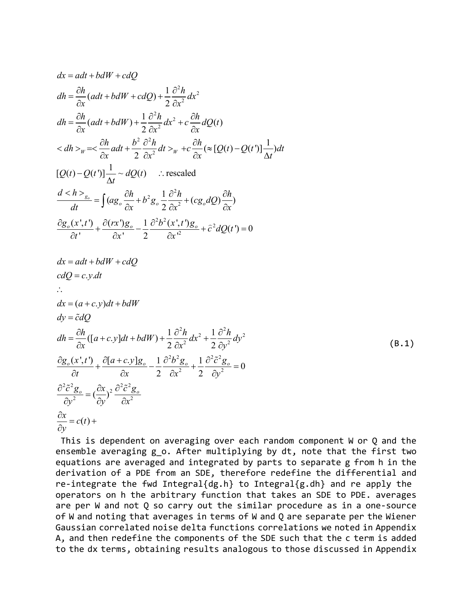$$
dx = adt + bdW + cdQ
$$
\n
$$
dh = \frac{\partial h}{\partial x}(adt + bdW + cdQ) + \frac{1}{2}\frac{\partial^2 h}{\partial x^2}dx^2
$$
\n
$$
dh = \frac{\partial h}{\partial x}(adt + bdW) + \frac{1}{2}\frac{\partial^2 h}{\partial x^2}dx^2 + c\frac{\partial h}{\partial x}dQ(t)
$$
\n
$$
< dh >_{w} = < \frac{\partial h}{\partial x}adt + \frac{b^2}{2}\frac{\partial^2 h}{\partial x^2}dt >_{w} + c\frac{\partial h}{\partial x}(\approx [Q(t) - Q(t')] \frac{1}{\Delta t})dt
$$
\n
$$
[Q(t) - Q(t')] \frac{1}{\Delta t} \sim dQ(t) \quad \therefore \text{ rescaled}
$$
\n
$$
\frac{d < h >_{g_{\alpha}}}{} = \int (ag_{\alpha} \frac{\partial h}{\partial x} + b^2 g_{\alpha} \frac{1}{2} \frac{\partial^2 h}{\partial x^2} + (cg_{\alpha}dQ) \frac{\partial h}{\partial x})
$$
\n
$$
\frac{\partial g_{\alpha}(x';t)}{\partial t'} + \frac{\partial (rx)g_{\alpha}}{\partial x'} - \frac{1}{2} \frac{\partial^2 b^2(x';t)g_{\alpha}}{\partial x^2} + \frac{\partial^2 dQ(t')}{\partial x} = 0
$$
\n
$$
dx = adt + bdW + cdQ
$$
\n
$$
cdQ = c.y.dt
$$
\n
$$
\therefore
$$
\n
$$
dx = (a + c.y)dt + bdW
$$
\n
$$
dy = \bar{c}dQ
$$
\n
$$
dh = \frac{\partial h}{\partial x} [(a + c.y)dt + bdW) + \frac{1}{2} \frac{\partial^2 h}{\partial x^2} dx^2 + \frac{1}{2} \frac{\partial^2 h}{\partial y^2} dy^2
$$
\n
$$
\frac{\partial g_{\alpha}(x';t)}{\partial t} + \frac{\partial [a + c.y]g_{\alpha}}{\partial x} - \frac{1}{2} \frac{\partial^2 b^2 g_{\alpha}}{\partial x^2} + \frac{1}{2} \frac{\partial^2 c^2 g_{\alpha}}{\partial y^2} = 0
$$
\n
$$
\frac{\partial^2 c^2 g_{\alpha}}{\partial y^2} = (\frac{\partial
$$

 This is dependent on averaging over each random component W or Q and the ensemble averaging g o. After multiplying by dt, note that the first two equations are averaged and integrated by parts to separate g from h in the derivation of a PDE from an SDE, therefore redefine the differential and re-integrate the fwd Integral{dg.h} to Integral{g.dh} and re apply the operators on h the arbitrary function that takes an SDE to PDE. averages are per W and not Q so carry out the similar procedure as in a one-source of W and noting that averages in terms of W and Q are separate per the Wiener Gaussian correlated noise delta functions correlations we noted in Appendix A, and then redefine the components of the SDE such that the c term is added to the dx terms, obtaining results analogous to those discussed in Appendix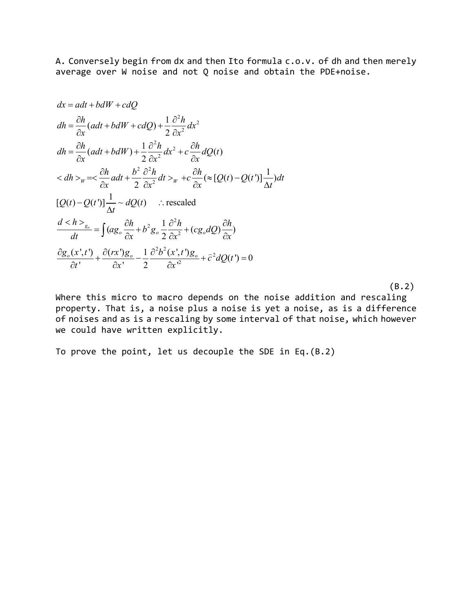A. Conversely begin from dx and then Ito formula c.o.v. of dh and then merely average over W noise and not Q noise and obtain the PDE+noise.

$$
dx = adt + bdW + cdQ
$$
  
\n
$$
dh = \frac{\partial h}{\partial x}(adt + bdW + cdQ) + \frac{1}{2}\frac{\partial^2 h}{\partial x^2}dx^2
$$
  
\n
$$
dh = \frac{\partial h}{\partial x}(adt + bdW) + \frac{1}{2}\frac{\partial^2 h}{\partial x^2}dx^2 + c\frac{\partial h}{\partial x}dQ(t)
$$
  
\n
$$
< dh >_w = < \frac{\partial h}{\partial x}adt + \frac{b^2}{2}\frac{\partial^2 h}{\partial x^2}dt >_w + c\frac{\partial h}{\partial x}( \approx [Q(t) - Q(t')] \frac{1}{\Delta t})dt
$$
  
\n
$$
[Q(t) - Q(t')] \frac{1}{\Delta t} \sim dQ(t) \quad \therefore \text{ rescaled}
$$
  
\n
$$
\frac{d < h>_{g_o}}{dt} = \int (ag_o \frac{\partial h}{\partial x} + b^2 g_o \frac{1}{2} \frac{\partial^2 h}{\partial x^2} + (cg_o dQ) \frac{\partial h}{\partial x})
$$
  
\n
$$
\frac{\partial g_o(x', t')}{\partial t'} + \frac{\partial (rx')g_o}{\partial x'} - \frac{1}{2} \frac{\partial^2 b^2(x', t')g_o}{\partial x'^2} + \frac{\partial^2 dQ(t')}{\partial t} = 0
$$

 $(B.2)$ 

Where this micro to macro depends on the noise addition and rescaling property. That is, a noise plus a noise is yet a noise, as is a difference of noises and as is a rescaling by some interval of that noise, which however we could have written explicitly.

To prove the point, let us decouple the SDE in Eq.(B.2)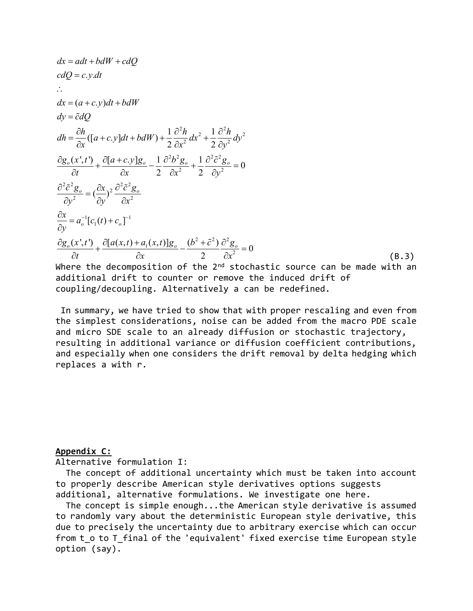$$
dx = adt + bdW + cdQ
$$
  
\n
$$
cdQ = c.y.dt
$$
  
\n
$$
dx = (a + c.y)dt + bdW
$$
  
\n
$$
dy = \tilde{c}dQ
$$
  
\n
$$
dh = \frac{\partial h}{\partial x}([a + c.y]dt + bdW) + \frac{1}{2} \frac{\partial^2 h}{\partial x^2} dx^2 + \frac{1}{2} \frac{\partial^2 h}{\partial y^2} dy^2
$$
  
\n
$$
\frac{\partial g_o(x',t')}{\partial t} + \frac{\partial [a + c.y]g_o}{\partial x} - \frac{1}{2} \frac{\partial^2 b^2 g_o}{\partial x^2} + \frac{1}{2} \frac{\partial^2 \tilde{c}^2 g_o}{\partial y^2} = 0
$$
  
\n
$$
\frac{\partial^2 \tilde{c}^2 g_o}{\partial y^2} = (\frac{\partial x}{\partial y})^2 \frac{\partial^2 \tilde{c}^2 g_o}{\partial x^2}
$$
  
\n
$$
\frac{\partial x}{\partial y} = a_o^{-1} [c_1(t) + c_o]^{-1}
$$
  
\n
$$
\frac{\partial g_o(x',t')}{\partial t} + \frac{\partial [a(x,t) + a_1(x,t)]g_o}{\partial x} - \frac{(b^2 + \tilde{c}^2)}{2} \frac{\partial^2 g_o}{\partial x^2} = 0
$$
  
\nWhere the decomposition of the 2<sup>nd</sup> stochastic source can be made with an

additional drift to counter or remove the induced drift of coupling/decoupling. Alternatively a can be redefined.

 In summary, we have tried to show that with proper rescaling and even from the simplest considerations, noise can be added from the macro PDE scale and micro SDE scale to an already diffusion or stochastic trajectory, resulting in additional variance or diffusion coefficient contributions, and especially when one considers the drift removal by delta hedging which replaces a with r.

## Appendix C:

Alternative formulation I:

 The concept of additional uncertainty which must be taken into account to properly describe American style derivatives options suggests additional, alternative formulations. We investigate one here.

 The concept is simple enough...the American style derivative is assumed to randomly vary about the deterministic European style derivative, this due to precisely the uncertainty due to arbitrary exercise which can occur from t o to T final of the 'equivalent' fixed exercise time European style option (say).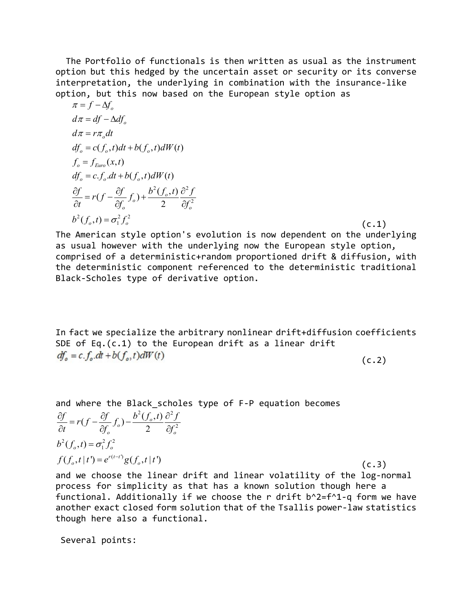The Portfolio of functionals is then written as usual as the instrument option but this hedged by the uncertain asset or security or its converse interpretation, the underlying in combination with the insurance-like option, but this now based on the European style option as

$$
\pi = f - \Delta f_o
$$
\n
$$
d\pi = df - \Delta df_o
$$
\n
$$
d\pi = r\pi_o dt
$$
\n
$$
df_o = c(f_o, t)dt + b(f_o, t)dW(t)
$$
\n
$$
f_o = f_{Euro}(x, t)
$$
\n
$$
df_o = c.f_o dt + b(f_o, t)dW(t)
$$
\n
$$
\frac{\partial f}{\partial t} = r(f - \frac{\partial f}{\partial f_o}f_o) + \frac{b^2(f_o, t)}{2} \frac{\partial^2 f}{\partial f_o^2}
$$
\n
$$
b^2(f_o, t) = \sigma_1^2 f_o^2
$$
\n(c.1)

The American style option's evolution is now dependent on the underlying as usual however with the underlying now the European style option, comprised of a deterministic+random proportioned drift & diffusion, with the deterministic component referenced to the deterministic traditional Black-Scholes type of derivative option.

In fact we specialize the arbitrary nonlinear drift+diffusion coefficients SDE of Eq.(c.1) to the European drift as a linear drift  $df_o = c.f_o.dt + b(f_o, t)dW(t)$  (c.2)

and where the Black scholes type of F-P equation becomes

$$
\frac{\partial f}{\partial t} = r(f - \frac{\partial f}{\partial f_o} f_o) - \frac{b^2 (f_o, t)}{2} \frac{\partial^2 f}{\partial f_o^2}
$$
  

$$
b^2 (f_o, t) = \sigma_1^2 f_o^2
$$
  

$$
f(f_o, t | t') = e^{r(t-t)} g(f_o, t | t')
$$
 (c.3)

and we choose the linear drift and linear volatility of the log-normal process for simplicity as that has a known solution though here a functional. Additionally if we choose the r drift  $b^2=f^1-q$  form we have another exact closed form solution that of the Tsallis power-law statistics though here also a functional.

Several points: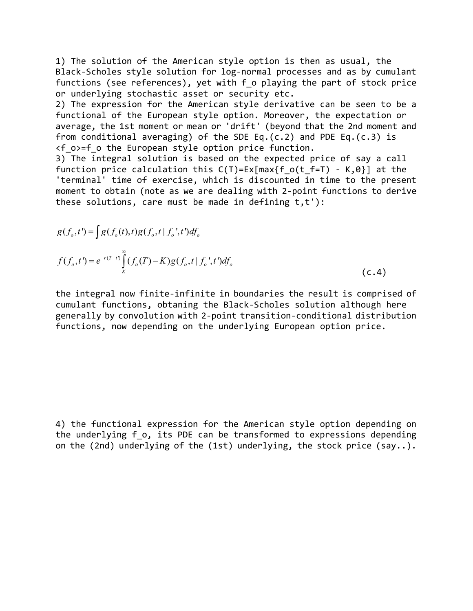1) The solution of the American style option is then as usual, the Black-Scholes style solution for log-normal processes and as by cumulant functions (see references), yet with f o playing the part of stock price or underlying stochastic asset or security etc.

2) The expression for the American style derivative can be seen to be a functional of the European style option. Moreover, the expectation or average, the 1st moment or mean or 'drift' (beyond that the 2nd moment and from conditional averaging) of the SDE Eq.(c.2) and PDE Eq.(c.3) is  $\langle f \rangle$  o>=f o the European style option price function.

3) The integral solution is based on the expected price of say a call function price calculation this  $C(T)=Ex(max{f}o(t_f=T) - K,0)$  at the 'terminal' time of exercise, which is discounted in time to the present moment to obtain (note as we are dealing with 2-point functions to derive these solutions, care must be made in defining t,t'):

$$
g(f_o, t') = \int g(f_o(t), t)g(f_o, t \mid f_o', t')df_o
$$
  

$$
f(f_o, t') = e^{-r(T-t)} \int_K^{\infty} (f_o(T) - K)g(f_o, t \mid f_o', t')df_o
$$
  
(c.4)

the integral now finite-infinite in boundaries the result is comprised of cumulant functions, obtaning the Black-Scholes solution although here generally by convolution with 2-point transition-conditional distribution functions, now depending on the underlying European option price.

4) the functional expression for the American style option depending on the underlying f o, its PDE can be transformed to expressions depending on the (2nd) underlying of the (1st) underlying, the stock price (say..).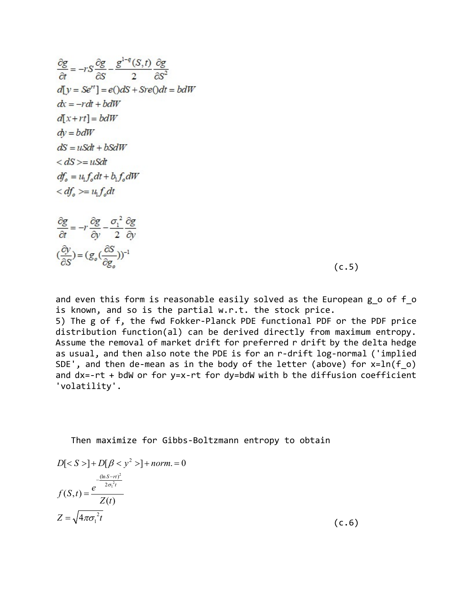$$
\frac{\partial g}{\partial t} = -rS \frac{\partial g}{\partial S} - \frac{g^{1-q}(S,t)}{2} \frac{\partial g}{\partial S^2}
$$
  
\n
$$
d[y = Se^{rt}] = e(\partial dS + Sre(\partial dt = bdW)
$$
  
\n
$$
dx = -rdt + bdW
$$
  
\n
$$
d[x + rt] = bdW
$$
  
\n
$$
dy = bdW
$$
  
\n
$$
dS = uSdt + bSdW
$$
  
\n
$$
dS = u_tGdt + b_tf_o dW
$$
  
\n
$$
df_o = u_t f_o dt + b_t f_o dW
$$
  
\n
$$
df_o \gg = u_t f_o dt
$$

 $\frac{\partial g}{\partial t}=-r\frac{\partial g}{\partial y}-\frac{\sigma_{1}^{\ 2}}{2}\frac{\partial g}{\partial y}$  $\big(\frac{\partial y}{\partial S}\big) = \big(g_o\big(\frac{\partial S}{\partial e}\big)\big)^{-1}$ 

 $(c.5)$ 

and even this form is reasonable easily solved as the European g o of f o is known, and so is the partial w.r.t. the stock price.

5) The g of f, the fwd Fokker-Planck PDE functional PDF or the PDF price distribution function(al) can be derived directly from maximum entropy. Assume the removal of market drift for preferred r drift by the delta hedge as usual, and then also note the PDE is for an r-drift log-normal ('implied SDE', and then de-mean as in the body of the letter (above) for x=ln(f\_o) and dx=-rt + bdW or for y=x-rt for dy=bdW with b the diffusion coefficient 'volatility'.

#### Then maximize for Gibbs-Boltzmann entropy to obtain

$$
D[< S >]+ D[\beta < y^2 >]+ norm = 0
$$
\n
$$
f(S,t) = \frac{e^{\frac{(\ln S - rt)^2}{2\sigma_1^2 t}}}{Z(t)}
$$
\n
$$
Z = \sqrt{4\pi\sigma_1^2 t} \tag{c.6}
$$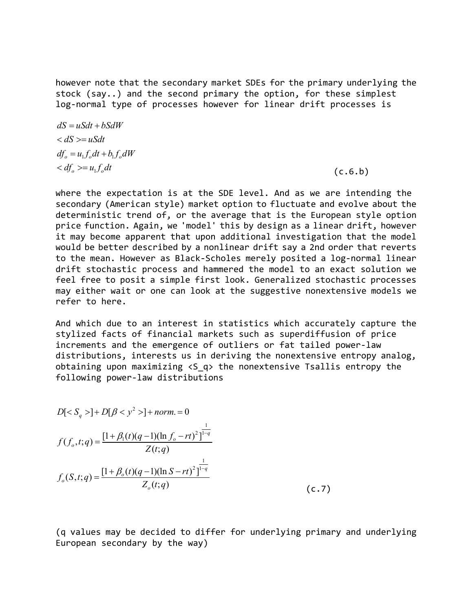however note that the secondary market SDEs for the primary underlying the stock (say..) and the second primary the option, for these simplest log-normal type of processes however for linear drift processes is

 $df_o = u_1 f_o dt + b_1 f_o dW$  $d\phi = u_1 f_o dt$  (c.6.b)  $dS = uSdt + bSdW$  $dS = uSdt$ 

where the expectation is at the SDE level. And as we are intending the secondary (American style) market option to fluctuate and evolve about the deterministic trend of, or the average that is the European style option price function. Again, we 'model' this by design as a linear drift, however it may become apparent that upon additional investigation that the model would be better described by a nonlinear drift say a 2nd order that reverts to the mean. However as Black-Scholes merely posited a log-normal linear drift stochastic process and hammered the model to an exact solution we feel free to posit a simple first look. Generalized stochastic processes may either wait or one can look at the suggestive nonextensive models we refer to here.

And which due to an interest in statistics which accurately capture the stylized facts of financial markets such as superdiffusion of price increments and the emergence of outliers or fat tailed power-law distributions, interests us in deriving the nonextensive entropy analog, obtaining upon maximizing <S\_q> the nonextensive Tsallis entropy the following power-law distributions

$$
D[< S_q >] + D[\beta < y^2 >] + norm = 0
$$
\n
$$
f(f_o, t; q) = \frac{[1 + \beta_1(t)(q - 1)(\ln f_o - rt)^2]^{1-q}}{Z(t; q)}
$$
\n
$$
f_o(S, t; q) = \frac{[1 + \beta_o(t)(q - 1)(\ln S - rt)^2]^{1-q}}{Z_o(t; q)}
$$
\n
$$
(c.7)
$$

(q values may be decided to differ for underlying primary and underlying European secondary by the way)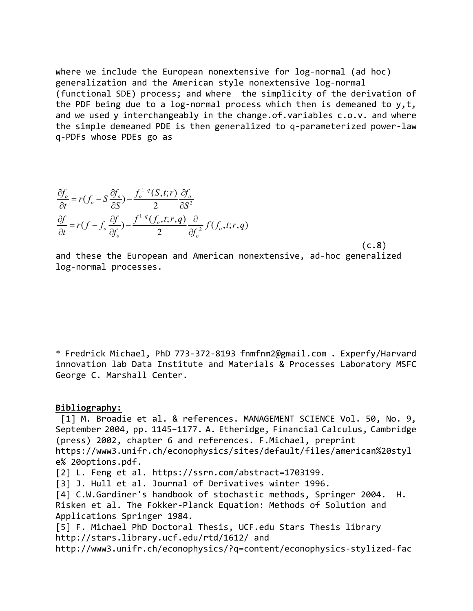where we include the European nonextensive for log-normal (ad hoc) generalization and the American style nonextensive log-normal (functional SDE) process; and where the simplicity of the derivation of the PDF being due to a log-normal process which then is demeaned to  $y, t$ , and we used y interchangeably in the change.of.variables c.o.v. and where the simple demeaned PDE is then generalized to q-parameterized power-law q-PDFs whose PDEs go as

$$
\frac{\partial f_o}{\partial t} = r(f_o - S \frac{\partial f_o}{\partial S}) - \frac{f_o^{1-q}(S, t; r)}{2} \frac{\partial f_o}{\partial S^2}
$$

$$
\frac{\partial f}{\partial t} = r(f - f_o \frac{\partial f}{\partial f_o}) - \frac{f^{1-q}(f_o, t; r, q)}{2} \frac{\partial}{\partial f_o^2} f(f_o, t; r, q)
$$

 $(c.8)$ and these the European and American nonextensive, ad-hoc generalized log-normal processes.

\* Fredrick Michael, PhD 773-372-8193 fnmfnm2@gmail.com . Experfy/Harvard innovation lab Data Institute and Materials & Processes Laboratory MSFC George C. Marshall Center.

#### Bibliography:

[1] M. Broadie et al. & references. MANAGEMENT SCIENCE Vol. 50, No. 9, September 2004, pp. 1145–1177. A. Etheridge, Financial Calculus, Cambridge (press) 2002, chapter 6 and references. F.Michael, preprint https://www3.unifr.ch/econophysics/sites/default/files/american%20styl e% 20options.pdf.

[2] L. Feng et al. https://ssrn.com/abstract=1703199.

[3] J. Hull et al. Journal of Derivatives winter 1996.

[4] C.W.Gardiner's handbook of stochastic methods, Springer 2004. H. Risken et al. The Fokker-Planck Equation: Methods of Solution and Applications Springer 1984.

[5] F. Michael PhD Doctoral Thesis, UCF.edu Stars Thesis library http://stars.library.ucf.edu/rtd/1612/ and

http://www3.unifr.ch/econophysics/?q=content/econophysics-stylized-fac